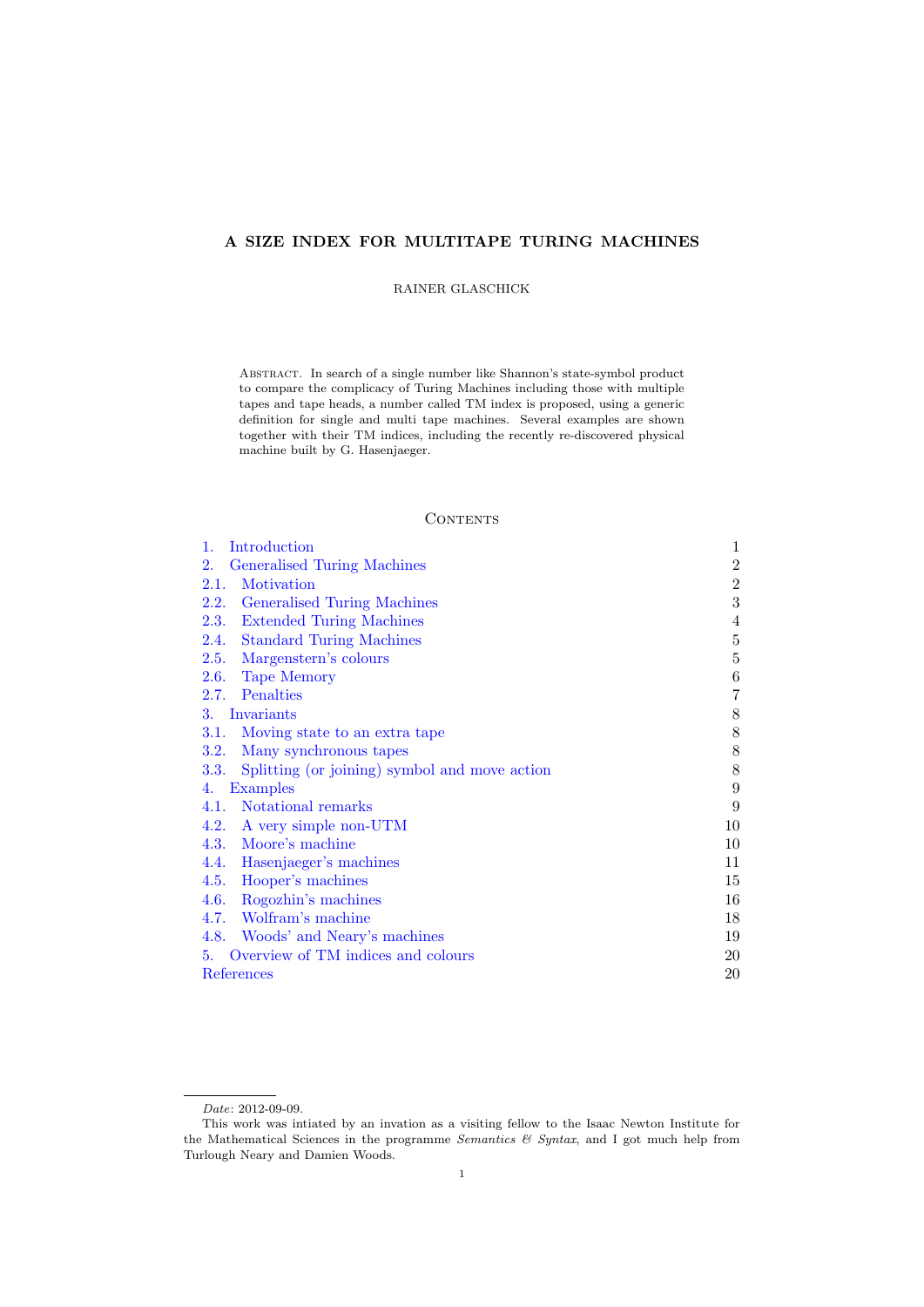# A SIZE INDEX FOR MULTITAPE TURING MACHINES

RAINER GLASCHICK

Abstract. In search of a single number like Shannon's state-symbol product to compare the complicacy of Turing Machines including those with multiple tapes and tape heads, a number called TM index is proposed, using a generic definition for single and multi tape machines. Several examples are shown together with their TM indices, including the recently re-discovered physical machine built by G. Hasenjaeger.

## **CONTENTS**

<span id="page-0-0"></span>

| Introduction<br>1.                                    | $\mathbf{1}$   |
|-------------------------------------------------------|----------------|
| Generalised Turing Machines<br>2.                     | $\overline{2}$ |
| Motivation<br>2.1.                                    | $\overline{2}$ |
| Generalised Turing Machines<br>2.2.                   | 3              |
| <b>Extended Turing Machines</b><br>2.3.               | 4              |
| <b>Standard Turing Machines</b><br>2.4.               | 5              |
| Margenstern's colours<br>2.5.                         | 5              |
| 2.6.<br><b>Tape Memory</b>                            | 6              |
| Penalties<br>2.7.                                     | 7              |
| Invariants<br>3.                                      | 8              |
| 3.1.<br>Moving state to an extra tape                 | 8              |
| 3.2.<br>Many synchronous tapes                        | 8              |
| Splitting (or joining) symbol and move action<br>3.3. | 8              |
| <b>Examples</b><br>4.                                 | 9              |
| Notational remarks<br>4.1.                            | 9              |
| A very simple non-UTM<br>4.2.                         | 10             |
| Moore's machine<br>4.3.                               | 10             |
| 4.4.<br>Hasenjaeger's machines                        | 11             |
| 4.5.<br>Hooper's machines                             | 15             |
| Rogozhin's machines<br>4.6.                           | 16             |
| Wolfram's machine<br>4.7.                             | 18             |
| 4.8.<br>Woods' and Neary's machines                   | 19             |
| Overview of TM indices and colours<br>5.              | 20             |
| References                                            | 20             |

Date: 2012-09-09.

This work was intiated by an invation as a visiting fellow to the Isaac Newton Institute for the Mathematical Sciences in the programme Semantics  $\mathcal C$  Syntax, and I got much help from Turlough Neary and Damien Woods.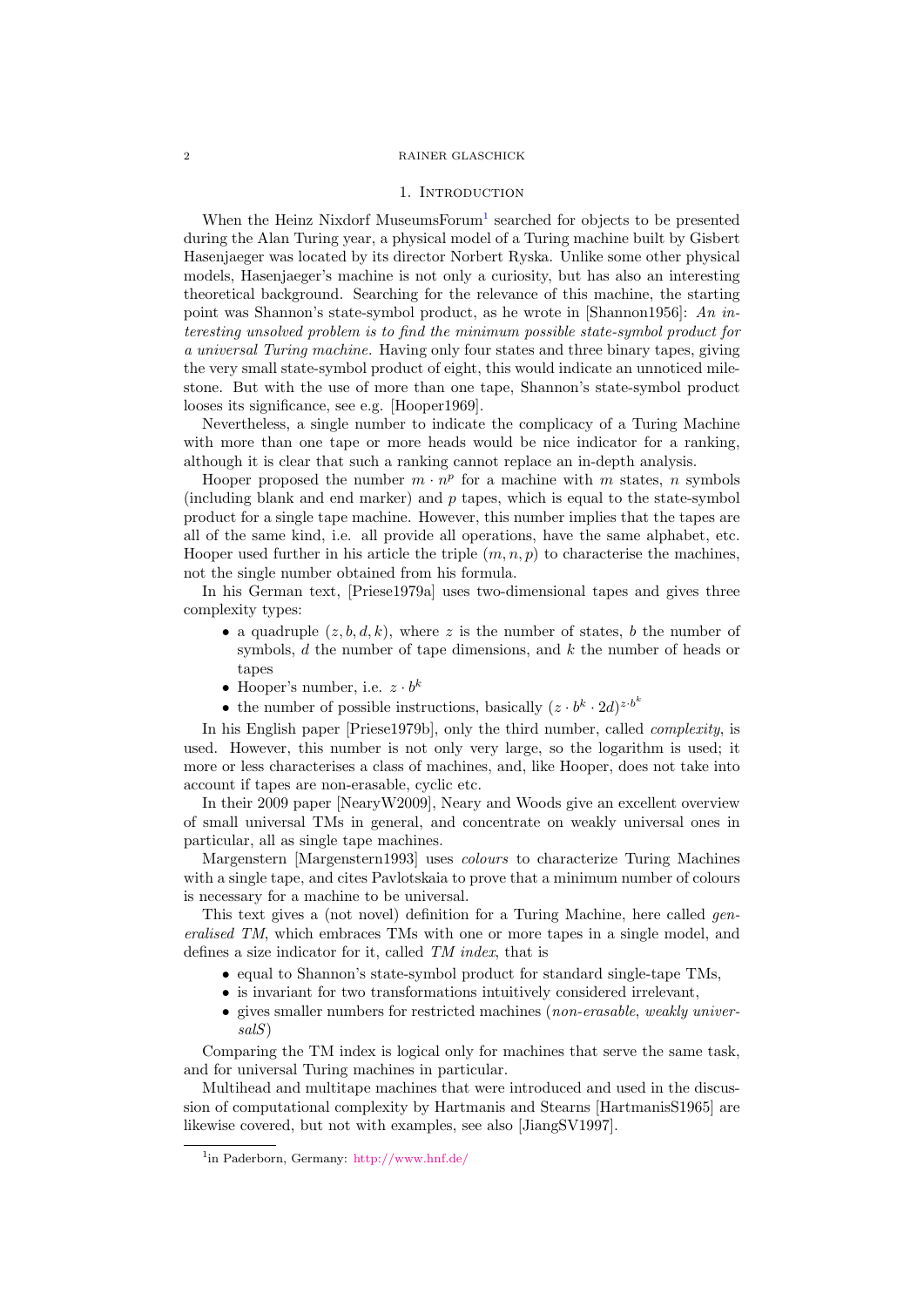#### 1. INTRODUCTION

<span id="page-1-0"></span>When the Heinz Nixdorf MuseumsForum<sup>[1](#page-1-1)</sup> searched for objects to be presented during the Alan Turing year, a physical model of a Turing machine built by Gisbert Hasenjaeger was located by its director Norbert Ryska. Unlike some other physical models, Hasenjaeger's machine is not only a curiosity, but has also an interesting theoretical background. Searching for the relevance of this machine, the starting point was Shannon's state-symbol product, as he wrote in [\[Shannon1956\]](#page-21-0): An interesting unsolved problem is to find the minimum possible state-symbol product for a universal Turing machine. Having only four states and three binary tapes, giving the very small state-symbol product of eight, this would indicate an unnoticed milestone. But with the use of more than one tape, Shannon's state-symbol product looses its significance, see e.g. [\[Hooper1969\]](#page-21-1).

Nevertheless, a single number to indicate the complicacy of a Turing Machine with more than one tape or more heads would be nice indicator for a ranking, although it is clear that such a ranking cannot replace an in-depth analysis.

Hooper proposed the number  $m \cdot n^p$  for a machine with m states, n symbols (including blank and end marker) and  $p$  tapes, which is equal to the state-symbol product for a single tape machine. However, this number implies that the tapes are all of the same kind, i.e. all provide all operations, have the same alphabet, etc. Hooper used further in his article the triple  $(m, n, p)$  to characterise the machines, not the single number obtained from his formula.

In his German text, [\[Priese1979a\]](#page-21-2) uses two-dimensional tapes and gives three complexity types:

- a quadruple  $(z, b, d, k)$ , where z is the number of states, b the number of symbols,  $d$  the number of tape dimensions, and  $k$  the number of heads or tapes
- Hooper's number, i.e.  $z \cdot b^k$
- the number of possible instructions, basically  $(z \cdot b^k \cdot 2d)^{z \cdot b^k}$

In his English paper [\[Priese1979b\]](#page-21-3), only the third number, called complexity, is used. However, this number is not only very large, so the logarithm is used; it more or less characterises a class of machines, and, like Hooper, does not take into account if tapes are non-erasable, cyclic etc.

In their 2009 paper [\[NearyW2009\]](#page-21-4), Neary and Woods give an excellent overview of small universal TMs in general, and concentrate on weakly universal ones in particular, all as single tape machines.

Margenstern [\[Margenstern1993\]](#page-21-5) uses *colours* to characterize Turing Machines with a single tape, and cites Pavlotskaia to prove that a minimum number of colours is necessary for a machine to be universal.

This text gives a (not novel) definition for a Turing Machine, here called *gen*eralised TM, which embraces TMs with one or more tapes in a single model, and defines a size indicator for it, called TM index, that is

- equal to Shannon's state-symbol product for standard single-tape TMs,
- is invariant for two transformations intuitively considered irrelevant,
- gives smaller numbers for restricted machines (non-erasable, weakly universalS)

Comparing the TM index is logical only for machines that serve the same task, and for universal Turing machines in particular.

Multihead and multitape machines that were introduced and used in the discussion of computational complexity by Hartmanis and Stearns [\[HartmanisS1965\]](#page-21-6) are likewise covered, but not with examples, see also [\[JiangSV1997\]](#page-21-7).

<span id="page-1-1"></span><sup>1</sup> in Paderborn, Germany: <http://www.hnf.de/>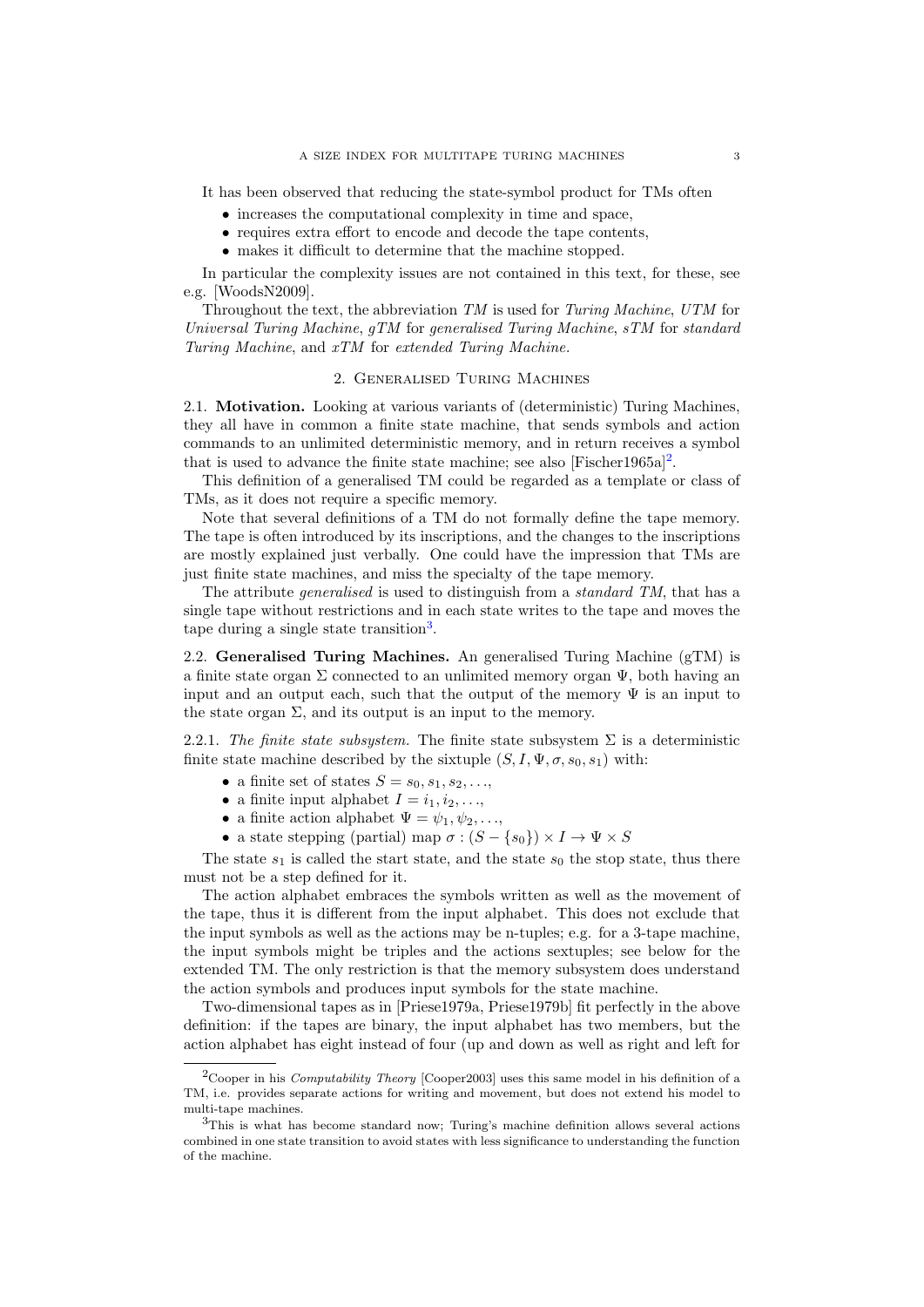It has been observed that reducing the state-symbol product for TMs often

- increases the computational complexity in time and space,
- requires extra effort to encode and decode the tape contents,
- makes it difficult to determine that the machine stopped.

In particular the complexity issues are not contained in this text, for these, see e.g. [\[WoodsN2009\]](#page-21-8).

Throughout the text, the abbreviation TM is used for Turing Machine, UTM for Universal Turing Machine, gTM for generalised Turing Machine, sTM for standard Turing Machine, and xTM for extended Turing Machine.

#### 2. Generalised Turing Machines

<span id="page-2-1"></span><span id="page-2-0"></span>2.1. Motivation. Looking at various variants of (deterministic) Turing Machines, they all have in common a finite state machine, that sends symbols and action commands to an unlimited deterministic memory, and in return receives a symbol that is used to advance the finite state machine; see also [\[Fischer1965a\]](#page-21-9)<sup>[2](#page-2-3)</sup>.

This definition of a generalised TM could be regarded as a template or class of TMs, as it does not require a specific memory.

Note that several definitions of a TM do not formally define the tape memory. The tape is often introduced by its inscriptions, and the changes to the inscriptions are mostly explained just verbally. One could have the impression that TMs are just finite state machines, and miss the specialty of the tape memory.

The attribute *generalised* is used to distinguish from a *standard TM*, that has a single tape without restrictions and in each state writes to the tape and moves the tape during a single state transition<sup>[3](#page-2-4)</sup>.

<span id="page-2-2"></span>2.2. Generalised Turing Machines. An generalised Turing Machine (gTM) is a finite state organ  $\Sigma$  connected to an unlimited memory organ  $\Psi$ , both having an input and an output each, such that the output of the memory  $\Psi$  is an input to the state organ  $\Sigma$ , and its output is an input to the memory.

2.2.1. The finite state subsystem. The finite state subsystem  $\Sigma$  is a deterministic finite state machine described by the sixtuple  $(S, I, \Psi, \sigma, s_0, s_1)$  with:

- a finite set of states  $S = s_0, s_1, s_2, \ldots,$
- a finite input alphabet  $I = i_1, i_2, \ldots$
- a finite action alphabet  $\Psi = \psi_1, \psi_2, \dots$
- a state stepping (partial) map  $\sigma : (S \{s_0\}) \times I \to \Psi \times S$

The state  $s_1$  is called the start state, and the state  $s_0$  the stop state, thus there must not be a step defined for it.

The action alphabet embraces the symbols written as well as the movement of the tape, thus it is different from the input alphabet. This does not exclude that the input symbols as well as the actions may be n-tuples; e.g. for a 3-tape machine, the input symbols might be triples and the actions sextuples; see below for the extended TM. The only restriction is that the memory subsystem does understand the action symbols and produces input symbols for the state machine.

Two-dimensional tapes as in [\[Priese1979a,](#page-21-2) [Priese1979b\]](#page-21-3) fit perfectly in the above definition: if the tapes are binary, the input alphabet has two members, but the action alphabet has eight instead of four (up and down as well as right and left for

<span id="page-2-3"></span><sup>&</sup>lt;sup>2</sup>Cooper in his *Computability Theory* [\[Cooper2003\]](#page-21-10) uses this same model in his definition of a TM, i.e. provides separate actions for writing and movement, but does not extend his model to multi-tape machines.

<span id="page-2-4"></span> $3$ This is what has become standard now; Turing's machine definition allows several actions combined in one state transition to avoid states with less significance to understanding the function of the machine.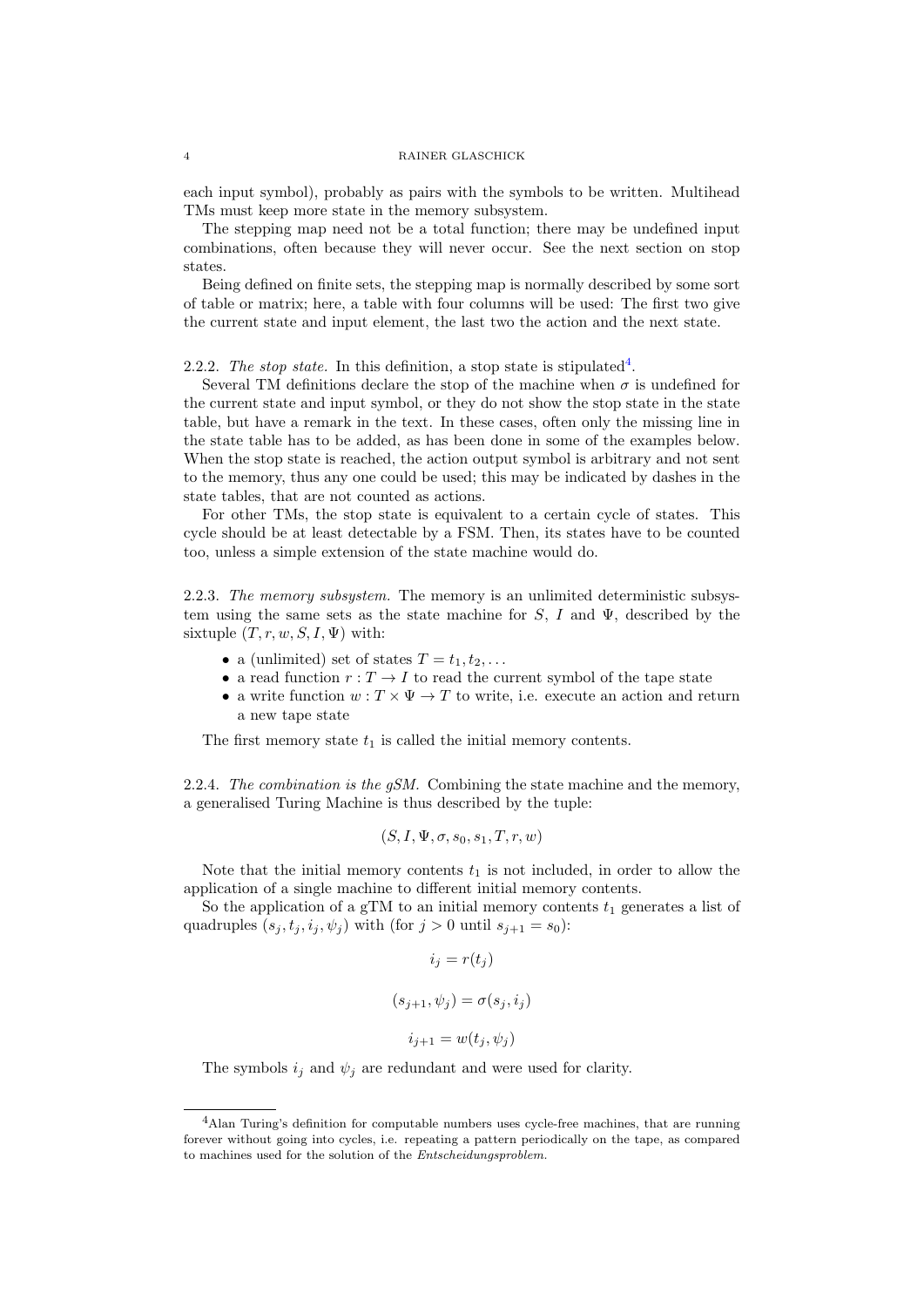each input symbol), probably as pairs with the symbols to be written. Multihead TMs must keep more state in the memory subsystem.

The stepping map need not be a total function; there may be undefined input combinations, often because they will never occur. See the next section on stop states.

Being defined on finite sets, the stepping map is normally described by some sort of table or matrix; here, a table with four columns will be used: The first two give the current state and input element, the last two the action and the next state.

2.2.2. The stop state. In this definition, a stop state is stipulated<sup>[4](#page-3-0)</sup>.

Several TM definitions declare the stop of the machine when  $\sigma$  is undefined for the current state and input symbol, or they do not show the stop state in the state table, but have a remark in the text. In these cases, often only the missing line in the state table has to be added, as has been done in some of the examples below. When the stop state is reached, the action output symbol is arbitrary and not sent to the memory, thus any one could be used; this may be indicated by dashes in the state tables, that are not counted as actions.

For other TMs, the stop state is equivalent to a certain cycle of states. This cycle should be at least detectable by a FSM. Then, its states have to be counted too, unless a simple extension of the state machine would do.

2.2.3. The memory subsystem. The memory is an unlimited deterministic subsystem using the same sets as the state machine for S, I and  $\Psi$ , described by the sixtuple  $(T, r, w, S, I, \Psi)$  with:

- a (unlimited) set of states  $T = t_1, t_2, \ldots$
- a read function  $r: T \to I$  to read the current symbol of the tape state
- a write function  $w: T \times \Psi \to T$  to write, i.e. execute an action and return a new tape state

The first memory state  $t_1$  is called the initial memory contents.

2.2.4. The combination is the  $gSM$ . Combining the state machine and the memory, a generalised Turing Machine is thus described by the tuple:

$$
(S, I, \Psi, \sigma, s_0, s_1, T, r, w)
$$

Note that the initial memory contents  $t_1$  is not included, in order to allow the application of a single machine to different initial memory contents.

So the application of a gTM to an initial memory contents  $t_1$  generates a list of quadruples  $(s_j, t_j, i_j, \psi_j)$  with (for  $j > 0$  until  $s_{j+1} = s_0$ ):

$$
i_j = r(t_j)
$$

$$
(s_{j+1}, \psi_j) = \sigma(s_j, i_j)
$$

$$
i_{j+1} = w(t_j, \psi_j)
$$

The symbols  $i_j$  and  $\psi_j$  are redundant and were used for clarity.

<span id="page-3-0"></span><sup>4</sup>Alan Turing's definition for computable numbers uses cycle-free machines, that are running forever without going into cycles, i.e. repeating a pattern periodically on the tape, as compared to machines used for the solution of the Entscheidungsproblem.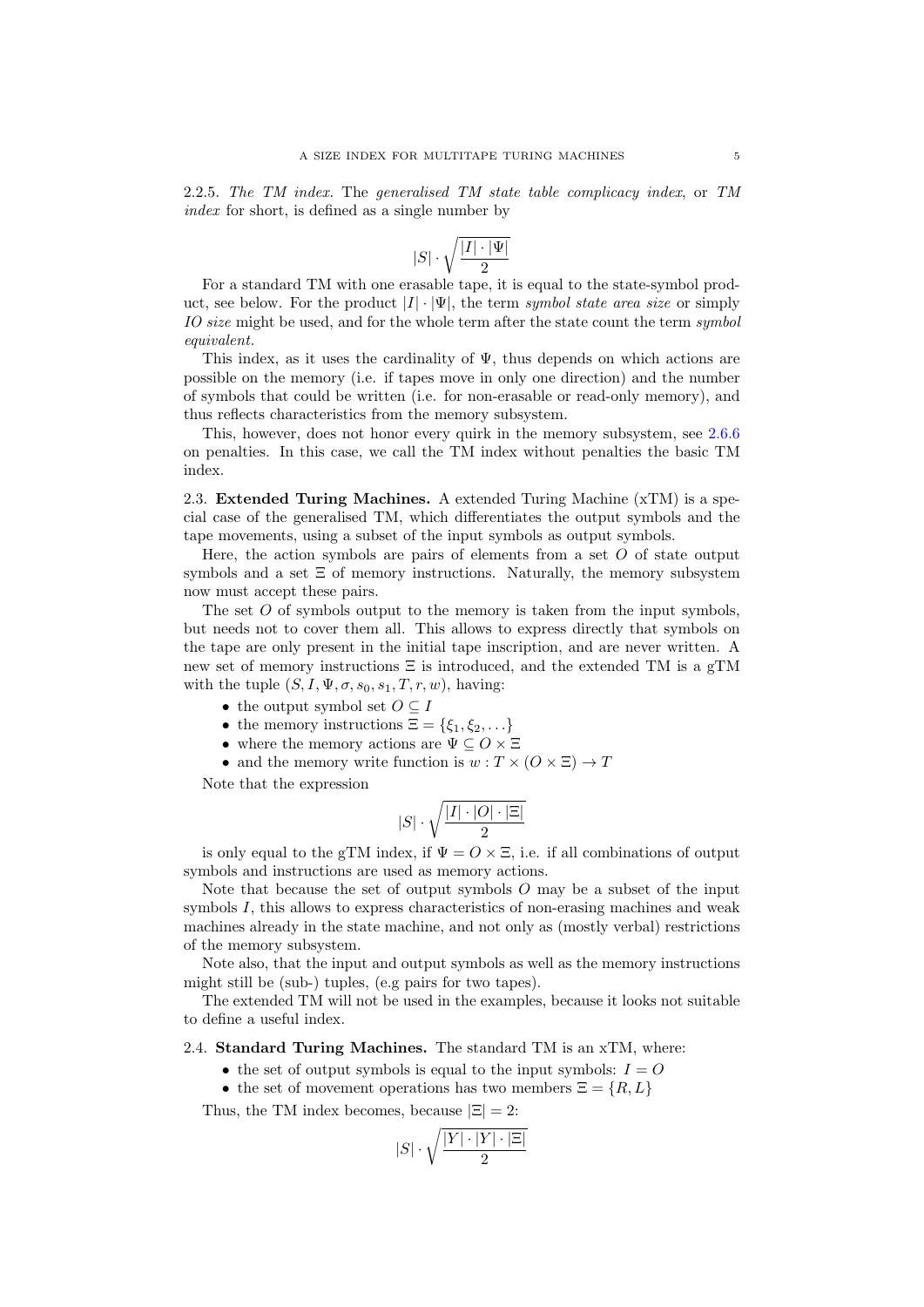2.2.5. The TM index. The generalised TM state table complicacy index, or TM index for short, is defined as a single number by

$$
|S| \cdot \sqrt{\frac{|I| \cdot |\Psi|}{2}}
$$

For a standard TM with one erasable tape, it is equal to the state-symbol product, see below. For the product  $|I| \cdot |\Psi|$ , the term symbol state area size or simply IO size might be used, and for the whole term after the state count the term symbol equivalent.

This index, as it uses the cardinality of  $\Psi$ , thus depends on which actions are possible on the memory (i.e. if tapes move in only one direction) and the number of symbols that could be written (i.e. for non-erasable or read-only memory), and thus reflects characteristics from the memory subsystem.

This, however, does not honor every quirk in the memory subsystem, see [2.6.6](#page-6-0) on penalties. In this case, we call the TM index without penalties the basic TM index.

<span id="page-4-0"></span>2.3. Extended Turing Machines. A extended Turing Machine (xTM) is a special case of the generalised TM, which differentiates the output symbols and the tape movements, using a subset of the input symbols as output symbols.

Here, the action symbols are pairs of elements from a set  $O$  of state output symbols and a set  $\Xi$  of memory instructions. Naturally, the memory subsystem now must accept these pairs.

The set O of symbols output to the memory is taken from the input symbols, but needs not to cover them all. This allows to express directly that symbols on the tape are only present in the initial tape inscription, and are never written. A new set of memory instructions  $\Xi$  is introduced, and the extended TM is a gTM with the tuple  $(S, I, \Psi, \sigma, s_0, s_1, T, r, w)$ , having:

- the output symbol set  $O \subseteq I$
- the memory instructions  $\Xi = \{\xi_1, \xi_2, \ldots\}$
- where the memory actions are  $\Psi \subseteq O \times \Xi$
- and the memory write function is  $w: T \times (O \times \Xi) \rightarrow T$

Note that the expression

$$
|S| \cdot \sqrt{\frac{|I| \cdot |O| \cdot |\Xi|}{2}}
$$

is only equal to the gTM index, if  $\Psi = O \times \Xi$ , i.e. if all combinations of output symbols and instructions are used as memory actions.

Note that because the set of output symbols  $O$  may be a subset of the input symbols  $I$ , this allows to express characteristics of non-erasing machines and weak machines already in the state machine, and not only as (mostly verbal) restrictions of the memory subsystem.

Note also, that the input and output symbols as well as the memory instructions might still be (sub-) tuples, (e.g pairs for two tapes).

The extended TM will not be used in the examples, because it looks not suitable to define a useful index.

<span id="page-4-1"></span>2.4. Standard Turing Machines. The standard TM is an xTM, where:

- the set of output symbols is equal to the input symbols:  $I = O$
- the set of movement operations has two members  $\Xi = \{R, L\}$

Thus, the TM index becomes, because  $|\Xi|=2$ :

$$
|S| \cdot \sqrt{\frac{|Y| \cdot |Y| \cdot |\Xi|}{2}}
$$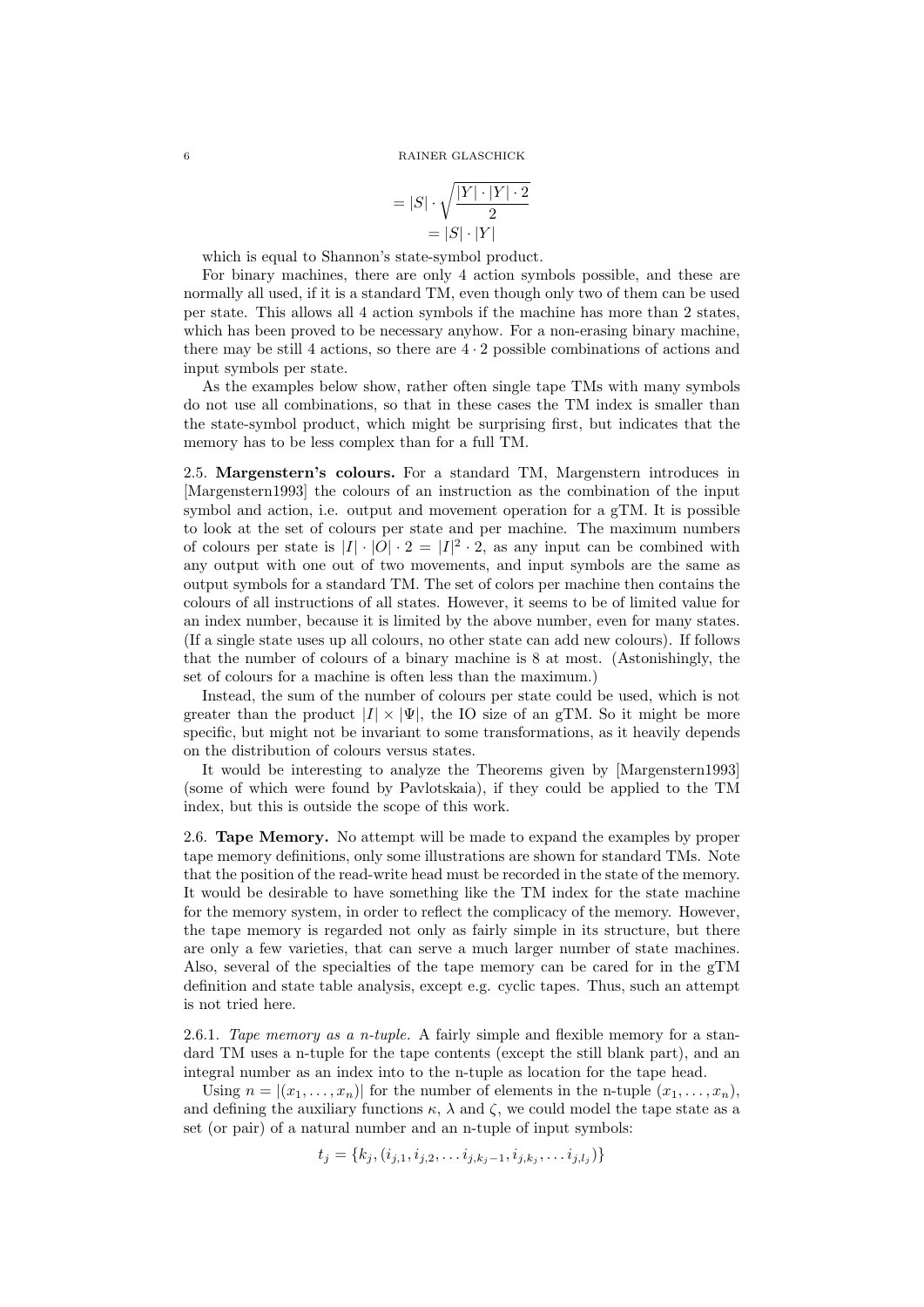$$
= |S| \cdot \sqrt{\frac{|Y| \cdot |Y| \cdot 2}{2}}
$$

$$
= |S| \cdot |Y|
$$

which is equal to Shannon's state-symbol product.

For binary machines, there are only 4 action symbols possible, and these are normally all used, if it is a standard TM, even though only two of them can be used per state. This allows all 4 action symbols if the machine has more than 2 states, which has been proved to be necessary anyhow. For a non-erasing binary machine, there may be still 4 actions, so there are  $4 \cdot 2$  possible combinations of actions and input symbols per state.

As the examples below show, rather often single tape TMs with many symbols do not use all combinations, so that in these cases the TM index is smaller than the state-symbol product, which might be surprising first, but indicates that the memory has to be less complex than for a full TM.

<span id="page-5-0"></span>2.5. Margenstern's colours. For a standard TM, Margenstern introduces in [\[Margenstern1993\]](#page-21-5) the colours of an instruction as the combination of the input symbol and action, i.e. output and movement operation for a gTM. It is possible to look at the set of colours per state and per machine. The maximum numbers of colours per state is  $|I| \cdot |O| \cdot 2 = |I|^2 \cdot 2$ , as any input can be combined with any output with one out of two movements, and input symbols are the same as output symbols for a standard TM. The set of colors per machine then contains the colours of all instructions of all states. However, it seems to be of limited value for an index number, because it is limited by the above number, even for many states. (If a single state uses up all colours, no other state can add new colours). If follows that the number of colours of a binary machine is 8 at most. (Astonishingly, the set of colours for a machine is often less than the maximum.)

Instead, the sum of the number of colours per state could be used, which is not greater than the product  $|I| \times |\Psi|$ , the IO size of an gTM. So it might be more specific, but might not be invariant to some transformations, as it heavily depends on the distribution of colours versus states.

It would be interesting to analyze the Theorems given by [\[Margenstern1993\]](#page-21-5) (some of which were found by Pavlotskaia), if they could be applied to the TM index, but this is outside the scope of this work.

<span id="page-5-1"></span>2.6. Tape Memory. No attempt will be made to expand the examples by proper tape memory definitions, only some illustrations are shown for standard TMs. Note that the position of the read-write head must be recorded in the state of the memory. It would be desirable to have something like the TM index for the state machine for the memory system, in order to reflect the complicacy of the memory. However, the tape memory is regarded not only as fairly simple in its structure, but there are only a few varieties, that can serve a much larger number of state machines. Also, several of the specialties of the tape memory can be cared for in the gTM definition and state table analysis, except e.g. cyclic tapes. Thus, such an attempt is not tried here.

2.6.1. Tape memory as a n-tuple. A fairly simple and flexible memory for a standard TM uses a n-tuple for the tape contents (except the still blank part), and an integral number as an index into to the n-tuple as location for the tape head.

Using  $n = |(x_1, \ldots, x_n)|$  for the number of elements in the n-tuple  $(x_1, \ldots, x_n)$ , and defining the auxiliary functions  $\kappa$ ,  $\lambda$  and  $\zeta$ , we could model the tape state as a set (or pair) of a natural number and an n-tuple of input symbols:

$$
t_j = \{k_j, (i_{j,1}, i_{j,2}, \ldots i_{j,k_j-1}, i_{j,k_j}, \ldots i_{j,l_j})\}
$$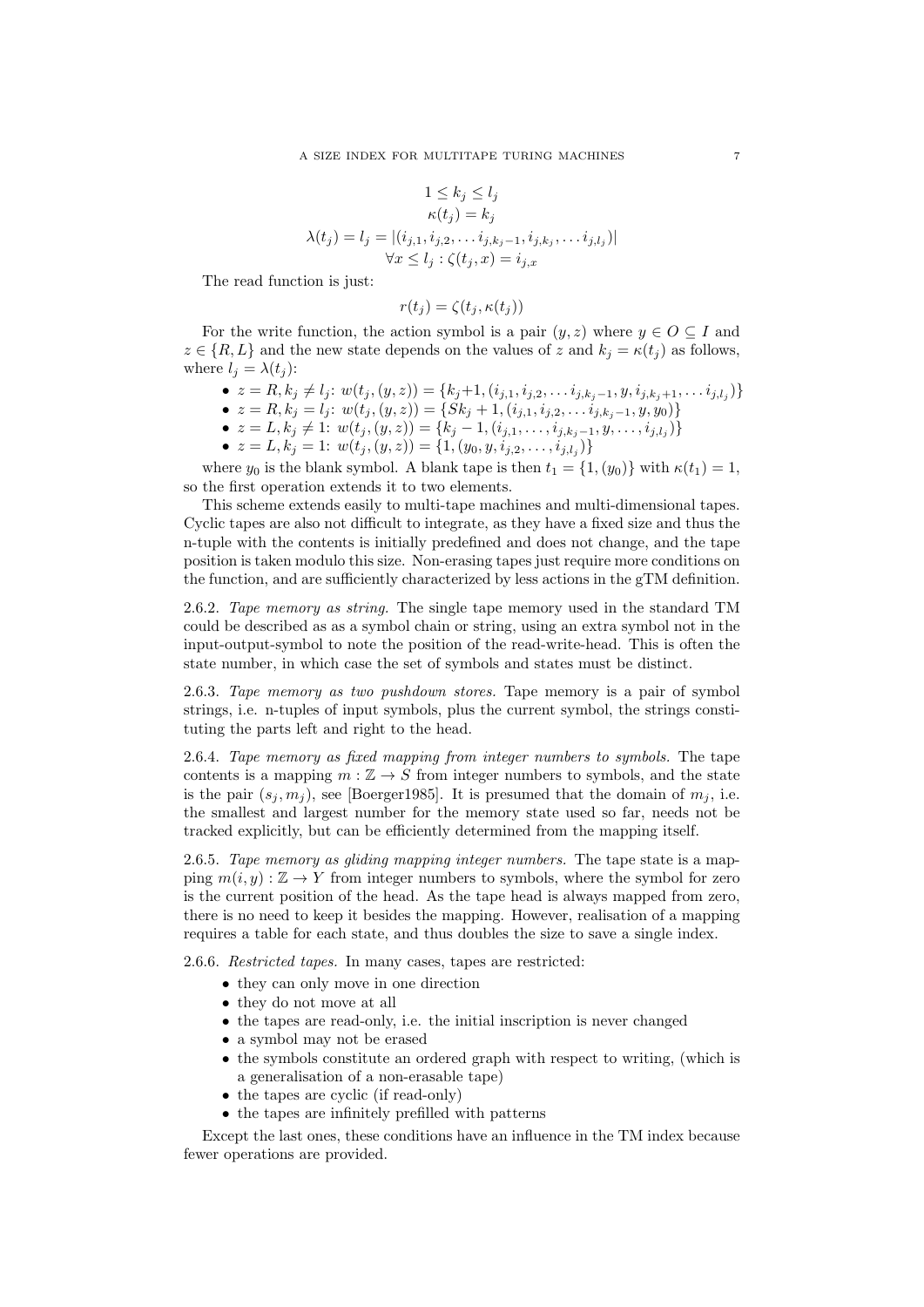$$
1 \le k_j \le l_j
$$
  
\n
$$
\kappa(t_j) = k_j
$$
  
\n
$$
\lambda(t_j) = l_j = |(i_{j,1}, i_{j,2}, \dots i_{j,k_j-1}, i_{j,k_j}, \dots i_{j,l_j})|
$$
  
\n
$$
\forall x \le l_j : \zeta(t_j, x) = i_{j,x}
$$

The read function is just:

$$
r(t_j) = \zeta(t_j, \kappa(t_j))
$$

For the write function, the action symbol is a pair  $(y, z)$  where  $y \in O \subseteq I$  and  $z \in \{R, L\}$  and the new state depends on the values of z and  $k_i = \kappa(t_i)$  as follows, where  $l_i = \lambda(t_i)$ :

- $z = R, k_j \neq l_j$ :  $w(t_j, (y, z)) = \{k_j+1, (i_{j,1}, i_{j,2}, \ldots i_{j,k_j-1}, y, i_{j,k_j+1}, \ldots i_{j,l_j})\}$
- $z = R, k_j = l_j$ :  $w(t_j, (y, z)) = \{Sk_j + 1, (i_{j,1}, i_{j,2}, \ldots i_{j,k_j-1}, y, y_0) \}$
- $z = L, k_j \neq 1$ :  $w(t_j, (y, z)) = \{k_j 1, (i_{j,1}, \ldots, i_{j,k_j-1}, y, \ldots, i_{j,l_j})\}$
- $z = L, k_j = 1: w(t_j, (y, z)) = \{1, (y_0, y, i_{j,2}, \ldots, i_{j,l_j})\}$

where  $y_0$  is the blank symbol. A blank tape is then  $t_1 = \{1, (y_0)\}\$  with  $\kappa(t_1) = 1$ , so the first operation extends it to two elements.

This scheme extends easily to multi-tape machines and multi-dimensional tapes. Cyclic tapes are also not difficult to integrate, as they have a fixed size and thus the n-tuple with the contents is initially predefined and does not change, and the tape position is taken modulo this size. Non-erasing tapes just require more conditions on the function, and are sufficiently characterized by less actions in the gTM definition.

2.6.2. Tape memory as string. The single tape memory used in the standard TM could be described as as a symbol chain or string, using an extra symbol not in the input-output-symbol to note the position of the read-write-head. This is often the state number, in which case the set of symbols and states must be distinct.

2.6.3. Tape memory as two pushdown stores. Tape memory is a pair of symbol strings, i.e. n-tuples of input symbols, plus the current symbol, the strings constituting the parts left and right to the head.

2.6.4. Tape memory as fixed mapping from integer numbers to symbols. The tape contents is a mapping  $m : \mathbb{Z} \to S$  from integer numbers to symbols, and the state is the pair  $(s_i, m_i)$ , see [\[Boerger1985\]](#page-21-11). It is presumed that the domain of  $m_i$ , i.e. the smallest and largest number for the memory state used so far, needs not be tracked explicitly, but can be efficiently determined from the mapping itself.

2.6.5. Tape memory as gliding mapping integer numbers. The tape state is a mapping  $m(i, y) : \mathbb{Z} \to Y$  from integer numbers to symbols, where the symbol for zero is the current position of the head. As the tape head is always mapped from zero, there is no need to keep it besides the mapping. However, realisation of a mapping requires a table for each state, and thus doubles the size to save a single index.

<span id="page-6-0"></span>2.6.6. Restricted tapes. In many cases, tapes are restricted:

- they can only move in one direction
- they do not move at all
- the tapes are read-only, i.e. the initial inscription is never changed
- a symbol may not be erased
- the symbols constitute an ordered graph with respect to writing, (which is a generalisation of a non-erasable tape)
- the tapes are cyclic (if read-only)
- the tapes are infinitely prefilled with patterns

Except the last ones, these conditions have an influence in the TM index because fewer operations are provided.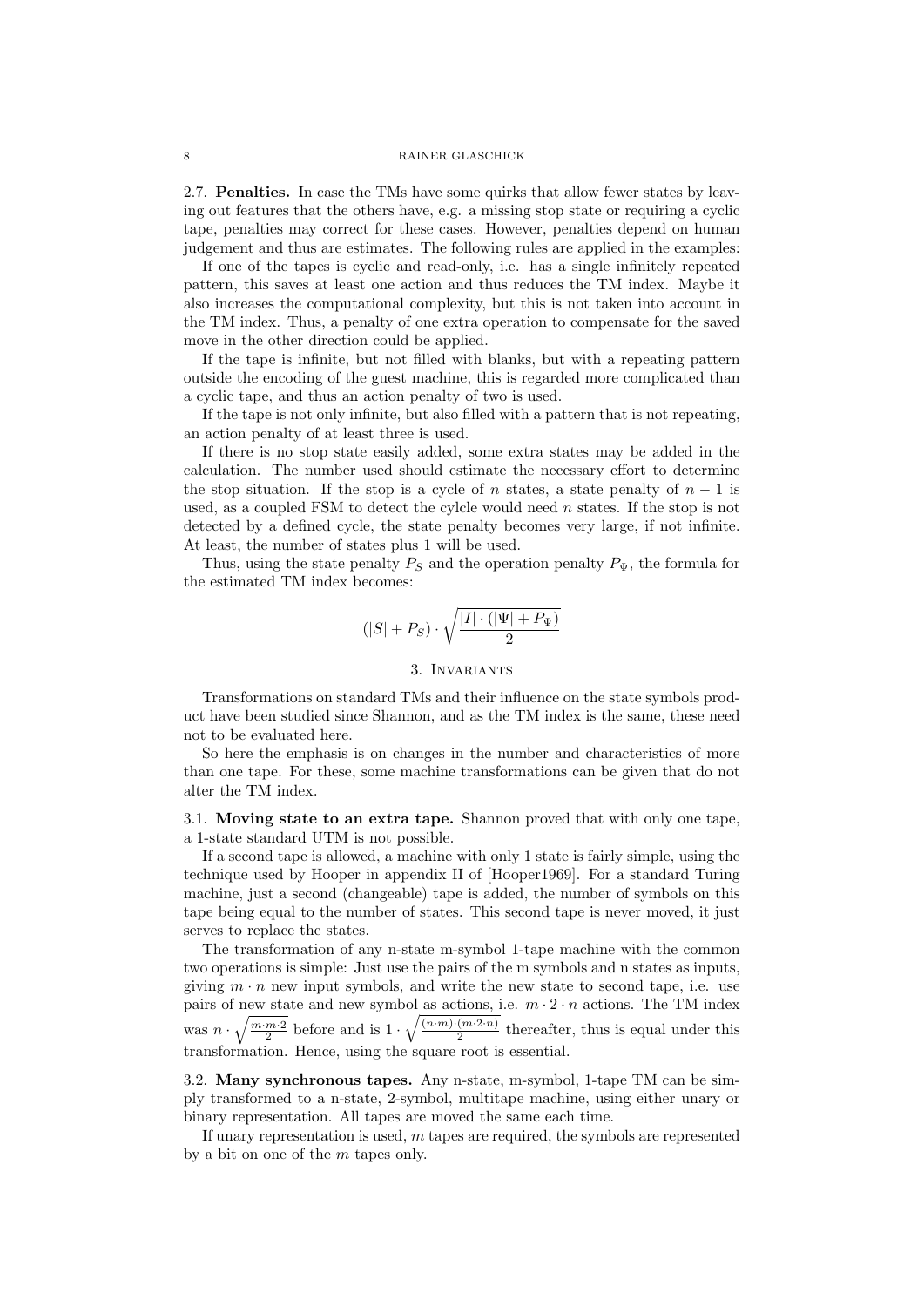<span id="page-7-0"></span>2.7. Penalties. In case the TMs have some quirks that allow fewer states by leaving out features that the others have, e.g. a missing stop state or requiring a cyclic tape, penalties may correct for these cases. However, penalties depend on human judgement and thus are estimates. The following rules are applied in the examples:

If one of the tapes is cyclic and read-only, i.e. has a single infinitely repeated pattern, this saves at least one action and thus reduces the TM index. Maybe it also increases the computational complexity, but this is not taken into account in the TM index. Thus, a penalty of one extra operation to compensate for the saved move in the other direction could be applied.

If the tape is infinite, but not filled with blanks, but with a repeating pattern outside the encoding of the guest machine, this is regarded more complicated than a cyclic tape, and thus an action penalty of two is used.

If the tape is not only infinite, but also filled with a pattern that is not repeating, an action penalty of at least three is used.

If there is no stop state easily added, some extra states may be added in the calculation. The number used should estimate the necessary effort to determine the stop situation. If the stop is a cycle of n states, a state penalty of  $n-1$  is used, as a coupled FSM to detect the cylcle would need  $n$  states. If the stop is not detected by a defined cycle, the state penalty becomes very large, if not infinite. At least, the number of states plus 1 will be used.

Thus, using the state penalty  $P_S$  and the operation penalty  $P_{\Psi}$ , the formula for the estimated TM index becomes:

$$
(|S|+P_S)\cdot\sqrt{\frac{|I|\cdot(|\Psi|+P_{\Psi})}{2}}
$$

### 3. Invariants

<span id="page-7-1"></span>Transformations on standard TMs and their influence on the state symbols product have been studied since Shannon, and as the TM index is the same, these need not to be evaluated here.

So here the emphasis is on changes in the number and characteristics of more than one tape. For these, some machine transformations can be given that do not alter the TM index.

<span id="page-7-2"></span>3.1. Moving state to an extra tape. Shannon proved that with only one tape, a 1-state standard UTM is not possible.

If a second tape is allowed, a machine with only 1 state is fairly simple, using the technique used by Hooper in appendix II of [\[Hooper1969\]](#page-21-1). For a standard Turing machine, just a second (changeable) tape is added, the number of symbols on this tape being equal to the number of states. This second tape is never moved, it just serves to replace the states.

The transformation of any n-state m-symbol 1-tape machine with the common two operations is simple: Just use the pairs of the m symbols and n states as inputs, giving  $m \cdot n$  new input symbols, and write the new state to second tape, i.e. use pairs of new state and new symbol as actions, i.e.  $m \cdot 2 \cdot n$  actions. The TM index was  $n \cdot \sqrt{\frac{m \cdot m \cdot 2}{2}}$  before and is  $1 \cdot \sqrt{\frac{(n \cdot m) \cdot (m \cdot 2 \cdot n)}{2}}$  $\frac{(m \cdot 2 \cdot n)}{2}$  thereafter, thus is equal under this transformation. Hence, using the square root is essential.

<span id="page-7-3"></span>3.2. Many synchronous tapes. Any n-state, m-symbol, 1-tape TM can be simply transformed to a n-state, 2-symbol, multitape machine, using either unary or binary representation. All tapes are moved the same each time.

If unary representation is used,  $m$  tapes are required, the symbols are represented by a bit on one of the m tapes only.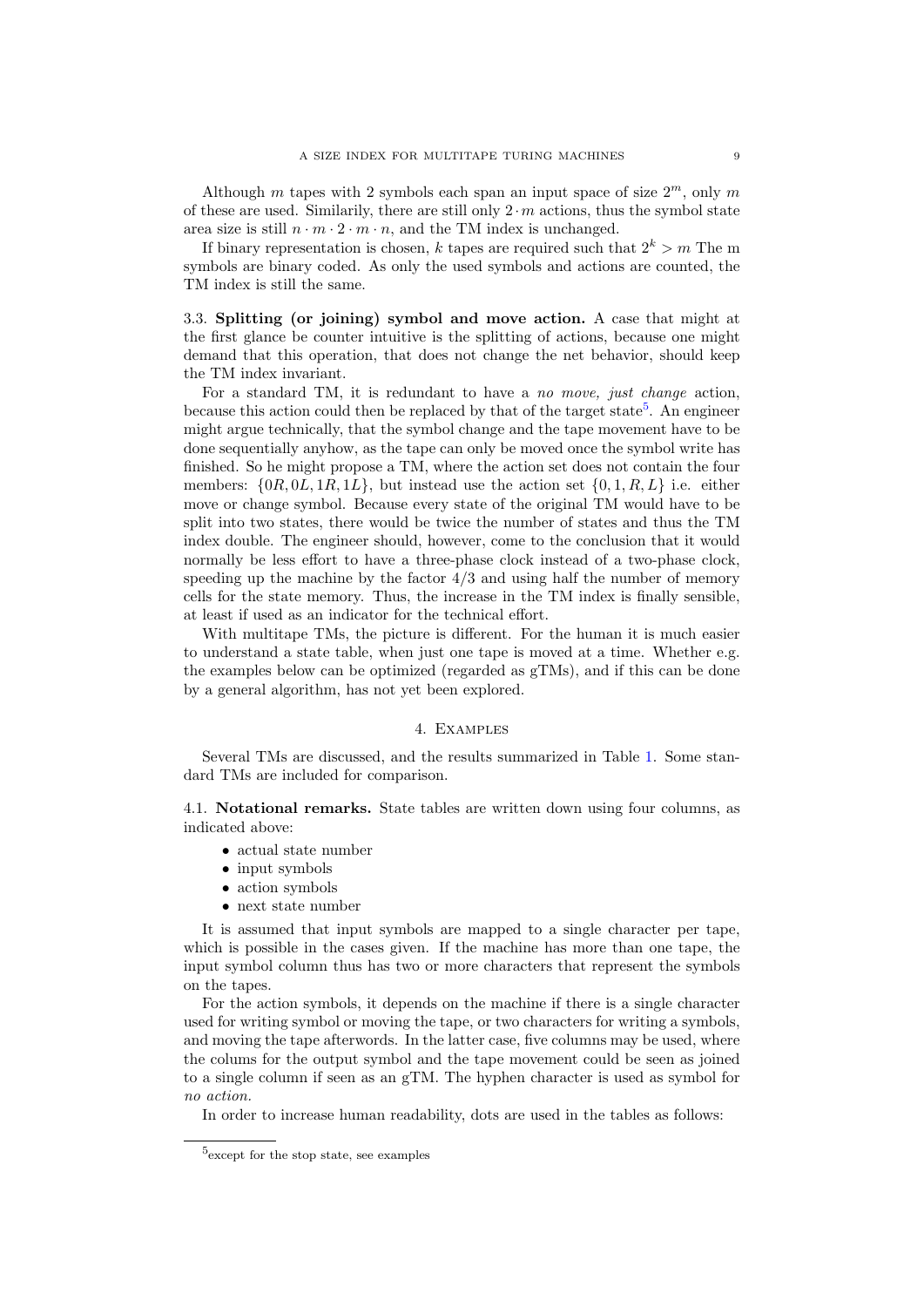Although m tapes with 2 symbols each span an input space of size  $2^m$ , only m of these are used. Similarily, there are still only  $2 \cdot m$  actions, thus the symbol state area size is still  $n \cdot m \cdot 2 \cdot m \cdot n$ , and the TM index is unchanged.

If binary representation is chosen, k tapes are required such that  $2^k > m$  The m symbols are binary coded. As only the used symbols and actions are counted, the TM index is still the same.

<span id="page-8-0"></span>3.3. Splitting (or joining) symbol and move action. A case that might at the first glance be counter intuitive is the splitting of actions, because one might demand that this operation, that does not change the net behavior, should keep the TM index invariant.

For a standard TM, it is redundant to have a no move, just change action, because this action could then be replaced by that of the target state<sup>[5](#page-8-3)</sup>. An engineer might argue technically, that the symbol change and the tape movement have to be done sequentially anyhow, as the tape can only be moved once the symbol write has finished. So he might propose a TM, where the action set does not contain the four members:  $\{0R, 0L, 1R, 1L\}$ , but instead use the action set  $\{0, 1, R, L\}$  i.e. either move or change symbol. Because every state of the original TM would have to be split into two states, there would be twice the number of states and thus the TM index double. The engineer should, however, come to the conclusion that it would normally be less effort to have a three-phase clock instead of a two-phase clock, speeding up the machine by the factor  $4/3$  and using half the number of memory cells for the state memory. Thus, the increase in the TM index is finally sensible, at least if used as an indicator for the technical effort.

With multitape TMs, the picture is different. For the human it is much easier to understand a state table, when just one tape is moved at a time. Whether e.g. the examples below can be optimized (regarded as gTMs), and if this can be done by a general algorithm, has not yet been explored.

### 4. Examples

<span id="page-8-1"></span>Several TMs are discussed, and the results summarized in Table [1.](#page-20-0) Some standard TMs are included for comparison.

<span id="page-8-2"></span>4.1. Notational remarks. State tables are written down using four columns, as indicated above:

- actual state number
- input symbols
- action symbols
- next state number

It is assumed that input symbols are mapped to a single character per tape, which is possible in the cases given. If the machine has more than one tape, the input symbol column thus has two or more characters that represent the symbols on the tapes.

For the action symbols, it depends on the machine if there is a single character used for writing symbol or moving the tape, or two characters for writing a symbols, and moving the tape afterwords. In the latter case, five columns may be used, where the colums for the output symbol and the tape movement could be seen as joined to a single column if seen as an gTM. The hyphen character is used as symbol for no action.

In order to increase human readability, dots are used in the tables as follows:

<span id="page-8-3"></span><sup>5</sup> except for the stop state, see examples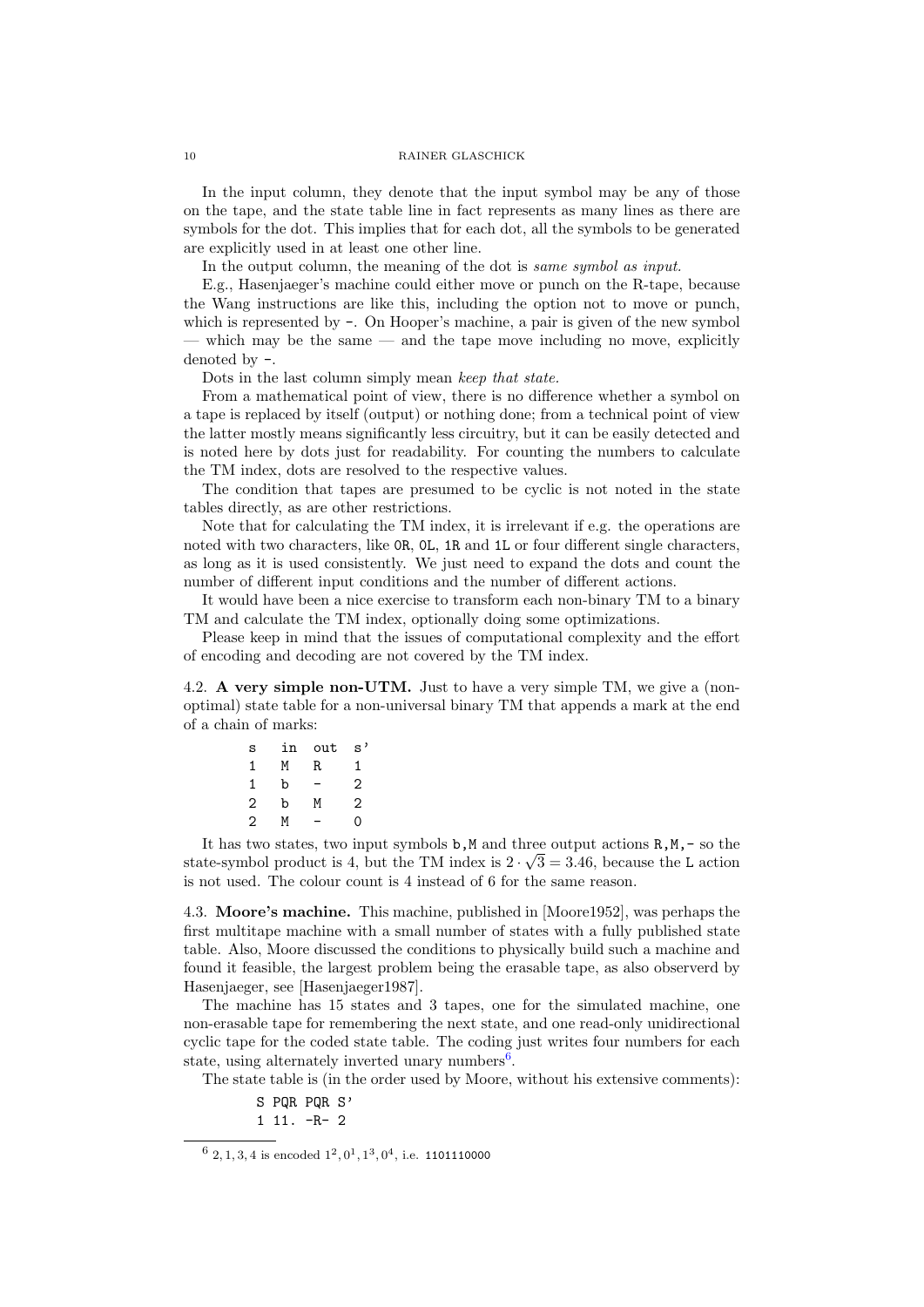In the input column, they denote that the input symbol may be any of those on the tape, and the state table line in fact represents as many lines as there are symbols for the dot. This implies that for each dot, all the symbols to be generated are explicitly used in at least one other line.

In the output column, the meaning of the dot is *same symbol as input.* 

E.g., Hasenjaeger's machine could either move or punch on the R-tape, because the Wang instructions are like this, including the option not to move or punch, which is represented by  $\overline{\phantom{a}}$ . On Hooper's machine, a pair is given of the new symbol — which may be the same — and the tape move including no move, explicitly denoted by -.

Dots in the last column simply mean keep that state.

From a mathematical point of view, there is no difference whether a symbol on a tape is replaced by itself (output) or nothing done; from a technical point of view the latter mostly means significantly less circuitry, but it can be easily detected and is noted here by dots just for readability. For counting the numbers to calculate the TM index, dots are resolved to the respective values.

The condition that tapes are presumed to be cyclic is not noted in the state tables directly, as are other restrictions.

Note that for calculating the TM index, it is irrelevant if e.g. the operations are noted with two characters, like 0R, 0L, 1R and 1L or four different single characters, as long as it is used consistently. We just need to expand the dots and count the number of different input conditions and the number of different actions.

It would have been a nice exercise to transform each non-binary TM to a binary TM and calculate the TM index, optionally doing some optimizations.

Please keep in mind that the issues of computational complexity and the effort of encoding and decoding are not covered by the TM index.

<span id="page-9-0"></span>4.2. A very simple non-UTM. Just to have a very simple TM, we give a (nonoptimal) state table for a non-universal binary TM that appends a mark at the end of a chain of marks:

| S | in | out | $\mathrm{s}^{\, \prime}$ |
|---|----|-----|--------------------------|
| 1 | М  | R   | 1                        |
| 1 | b  |     | 2                        |
| 2 | b  | М   | 2                        |
| 2 | м  |     | Ō                        |

It has two states, two input symbols **b**,M and three output actions  $R, M, -$  so the state-symbol product is 4, but the TM index is  $2 \cdot \sqrt{3} = 3.46$ , because the L action is not used. The colour count is 4 instead of 6 for the same reason.

<span id="page-9-1"></span>4.3. Moore's machine. This machine, published in [\[Moore1952\]](#page-21-12), was perhaps the first multitape machine with a small number of states with a fully published state table. Also, Moore discussed the conditions to physically build such a machine and found it feasible, the largest problem being the erasable tape, as also observerd by Hasenjaeger, see [\[Hasenjaeger1987\]](#page-21-13).

The machine has 15 states and 3 tapes, one for the simulated machine, one non-erasable tape for remembering the next state, and one read-only unidirectional cyclic tape for the coded state table. The coding just writes four numbers for each state, using alternately inverted unary numbers<sup>[6](#page-9-2)</sup>.

The state table is (in the order used by Moore, without his extensive comments):

S PQR PQR S'

<sup>1 11. -</sup>R- 2

<span id="page-9-2"></span> $6$  2, 1, 3, 4 is encoded  $1^2, 0^1, 1^3, 0^4$ , i.e. 1101110000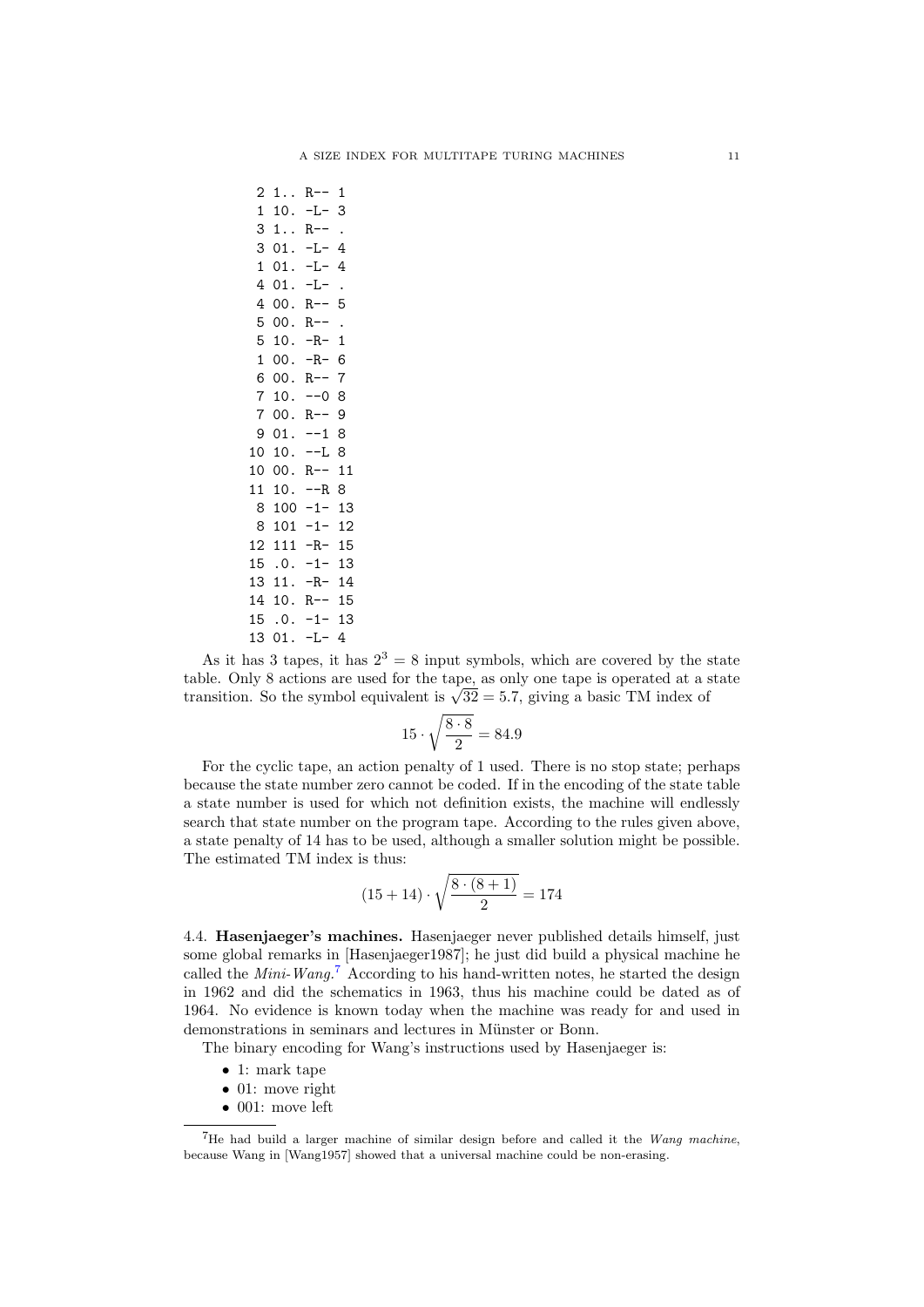$2 \t1. R - - 1$ 1 10. -L- 3 3 1.. R-- . 3 01. -L- 4  $1 \t01$ .  $-I - 4$  $401. -L-$ 4 00. R-- 5  $500. R--$ . 5 10. -R- 1 1 00. -R- 6 6 00. R-- 7  $710. -08$ 7 00. R-- 9  $901. -18$ 10 10. --L 8 10 00. R-- 11 11 10. --R 8 8 100 -1- 13 8 101 -1- 12 12 111 -R- 15 15 .0. -1- 13 13 11. -R- 14 14 10. R-- 15 15 .0. -1- 13 13 01. -L- 4

As it has 3 tapes, it has  $2^3 = 8$  input symbols, which are covered by the state table. Only 8 actions are used for the tape, as only one tape is operated at a state table. Only 8 actions are used for the tape, as only one tape is operated at a s<br>transition. So the symbol equivalent is  $\sqrt{32} = 5.7$ , giving a basic TM index of

$$
15 \cdot \sqrt{\frac{8 \cdot 8}{2}} = 84.9
$$

For the cyclic tape, an action penalty of 1 used. There is no stop state; perhaps because the state number zero cannot be coded. If in the encoding of the state table a state number is used for which not definition exists, the machine will endlessly search that state number on the program tape. According to the rules given above, a state penalty of 14 has to be used, although a smaller solution might be possible. The estimated TM index is thus:

$$
(15+14) \cdot \sqrt{\frac{8\cdot (8+1)}{2}} = 174
$$

<span id="page-10-0"></span>4.4. Hasenjaeger's machines. Hasenjaeger never published details himself, just some global remarks in [\[Hasenjaeger1987\]](#page-21-13); he just did build a physical machine he called the *Mini-Wang*.<sup>[7](#page-10-1)</sup> According to his hand-written notes, he started the design in 1962 and did the schematics in 1963, thus his machine could be dated as of 1964. No evidence is known today when the machine was ready for and used in demonstrations in seminars and lectures in Münster or Bonn.

The binary encoding for Wang's instructions used by Hasenjaeger is:

- 1: mark tape
- 01: move right
- 001: move left

<span id="page-10-1"></span><sup>&</sup>lt;sup>7</sup>He had build a larger machine of similar design before and called it the *Wang machine*, because Wang in [\[Wang1957\]](#page-21-14) showed that a universal machine could be non-erasing.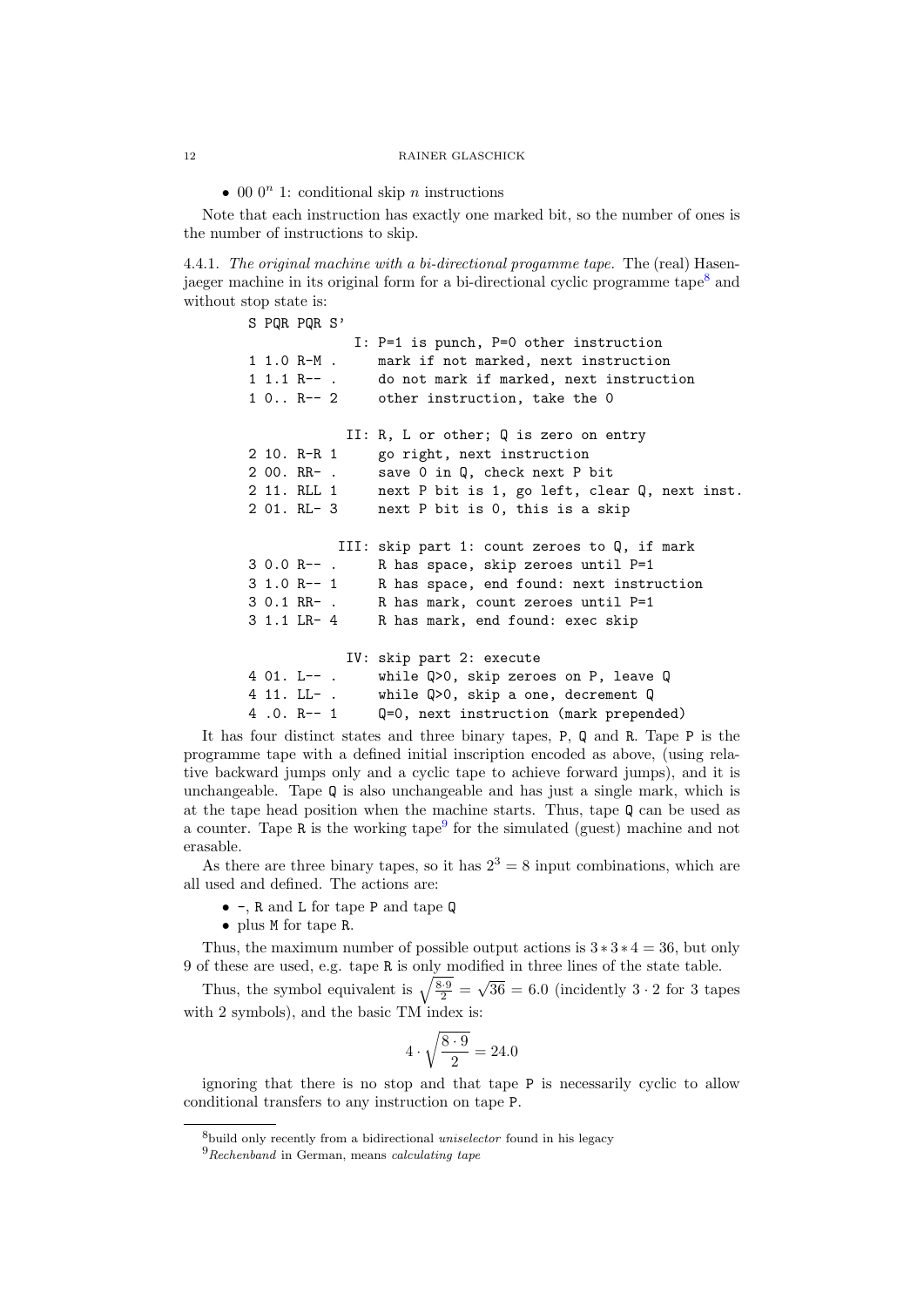• 00  $0^n$  1: conditional skip *n* instructions

Note that each instruction has exactly one marked bit, so the number of ones is the number of instructions to skip.

4.4.1. The original machine with a bi-directional progamme tape. The (real) Hasen-jaeger machine in its original form for a bi-directional cyclic programme tape<sup>[8](#page-11-0)</sup> and without stop state is:

> S PQR PQR S' I: P=1 is punch, P=0 other instruction 1 1.0 R-M . mark if not marked, next instruction 1 1.1 R-- . do not mark if marked, next instruction 1 0.. R-- 2 other instruction, take the 0 II: R, L or other; Q is zero on entry 2 10. R-R 1 go right, next instruction 2 00. RR- . save 0 in Q, check next P bit 2 11. RLL 1 next P bit is 1, go left, clear Q, next inst. 2 01. RL- 3 next P bit is 0, this is a skip III: skip part 1: count zeroes to Q, if mark 3 0.0 R-- . R has space, skip zeroes until P=1 3 1.0 R-- 1 R has space, end found: next instruction 3 0.1 RR- . R has mark, count zeroes until P=1 3 1.1 LR- 4 R has mark, end found: exec skip IV: skip part 2: execute 4 01. L-- . while Q>0, skip zeroes on P, leave Q 4 11. LL- . while Q>0, skip a one, decrement Q 4 .0. R-- 1 Q=0, next instruction (mark prepended)

It has four distinct states and three binary tapes, P, Q and R. Tape P is the programme tape with a defined initial inscription encoded as above, (using relative backward jumps only and a cyclic tape to achieve forward jumps), and it is unchangeable. Tape Q is also unchangeable and has just a single mark, which is at the tape head position when the machine starts. Thus, tape Q can be used as a counter. Tape R is the working tape<sup>[9](#page-11-1)</sup> for the simulated (guest) machine and not erasable.

As there are three binary tapes, so it has  $2^3 = 8$  input combinations, which are all used and defined. The actions are:

- -, R and L for tape P and tape Q
- plus M for tape R.

Thus, the maximum number of possible output actions is  $3 * 3 * 4 = 36$ , but only 9 of these are used, e.g. tape R is only modified in three lines of the state table. √

Thus, the symbol equivalent is  $\sqrt{\frac{8\cdot 9}{2}} =$  $36 = 6.0$  (incidently  $3 \cdot 2$  for 3 tapes with 2 symbols), and the basic TM index is:

$$
4 \cdot \sqrt{\frac{8 \cdot 9}{2}} = 24.0
$$

ignoring that there is no stop and that tape P is necessarily cyclic to allow conditional transfers to any instruction on tape P.

<span id="page-11-0"></span><sup>&</sup>lt;sup>8</sup>build only recently from a bidirectional *uniselector* found in his legacy

<span id="page-11-1"></span> ${}^{9}Rechenband$  in German, means *calculating tape*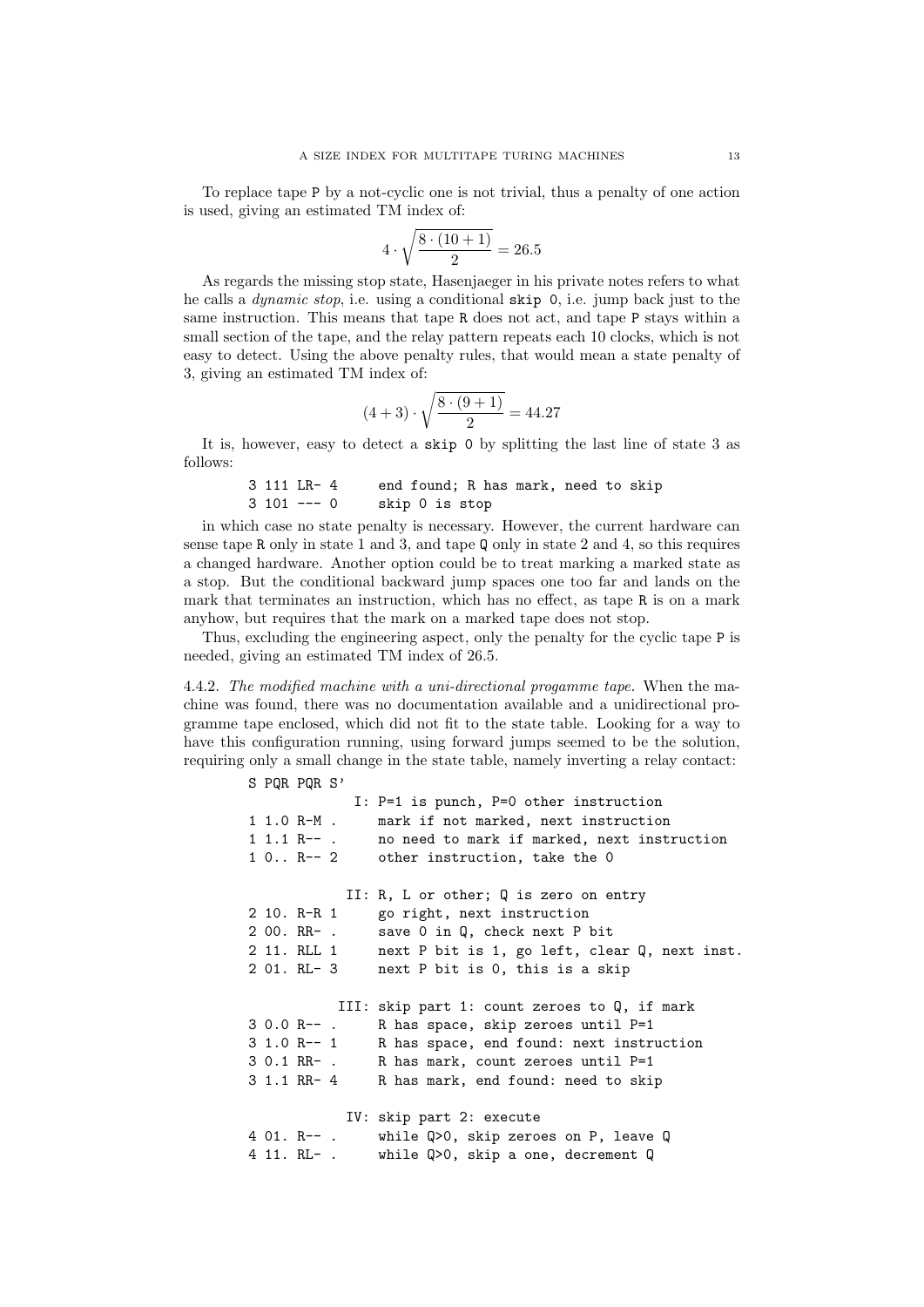To replace tape P by a not-cyclic one is not trivial, thus a penalty of one action is used, giving an estimated TM index of:

$$
4 \cdot \sqrt{\frac{8 \cdot (10 + 1)}{2}} = 26.5
$$

As regards the missing stop state, Hasenjaeger in his private notes refers to what he calls a dynamic stop, i.e. using a conditional skip 0, i.e. jump back just to the same instruction. This means that tape R does not act, and tape P stays within a small section of the tape, and the relay pattern repeats each 10 clocks, which is not easy to detect. Using the above penalty rules, that would mean a state penalty of 3, giving an estimated TM index of:

$$
(4+3)\cdot\sqrt{\frac{8\cdot(9+1)}{2}} = 44.27
$$

It is, however, easy to detect a skip 0 by splitting the last line of state 3 as follows:

```
3 111 LR- 4 end found; R has mark, need to skip
3 101 --- 0 skip 0 is stop
```
in which case no state penalty is necessary. However, the current hardware can sense tape R only in state 1 and 3, and tape Q only in state 2 and 4, so this requires a changed hardware. Another option could be to treat marking a marked state as a stop. But the conditional backward jump spaces one too far and lands on the mark that terminates an instruction, which has no effect, as tape R is on a mark anyhow, but requires that the mark on a marked tape does not stop.

Thus, excluding the engineering aspect, only the penalty for the cyclic tape P is needed, giving an estimated TM index of 26.5.

4.4.2. The modified machine with a uni-directional progamme tape. When the machine was found, there was no documentation available and a unidirectional programme tape enclosed, which did not fit to the state table. Looking for a way to have this configuration running, using forward jumps seemed to be the solution, requiring only a small change in the state table, namely inverting a relay contact:

S PQR PQR S'

```
I: P=1 is punch, P=0 other instruction
1 1.0 R-M . mark if not marked, next instruction
1 1.1 R-- . no need to mark if marked, next instruction
1 0.. R-- 2 other instruction, take the 0
           II: R, L or other; Q is zero on entry
2 10. R-R 1 go right, next instruction
2 00. RR- . save 0 in Q, check next P bit
2 11. RLL 1 next P bit is 1, go left, clear Q, next inst.
2 01. RL- 3 next P bit is 0, this is a skip
          III: skip part 1: count zeroes to Q, if mark
3 0.0 R-- . R has space, skip zeroes until P=1
3 1.0 R-- 1 R has space, end found: next instruction
3 0.1 RR- . R has mark, count zeroes until P=1
3 1.1 RR- 4 R has mark, end found: need to skip
           IV: skip part 2: execute
4 01. R-- . while Q>0, skip zeroes on P, leave Q
4 11. RL- . while Q>0, skip a one, decrement Q
```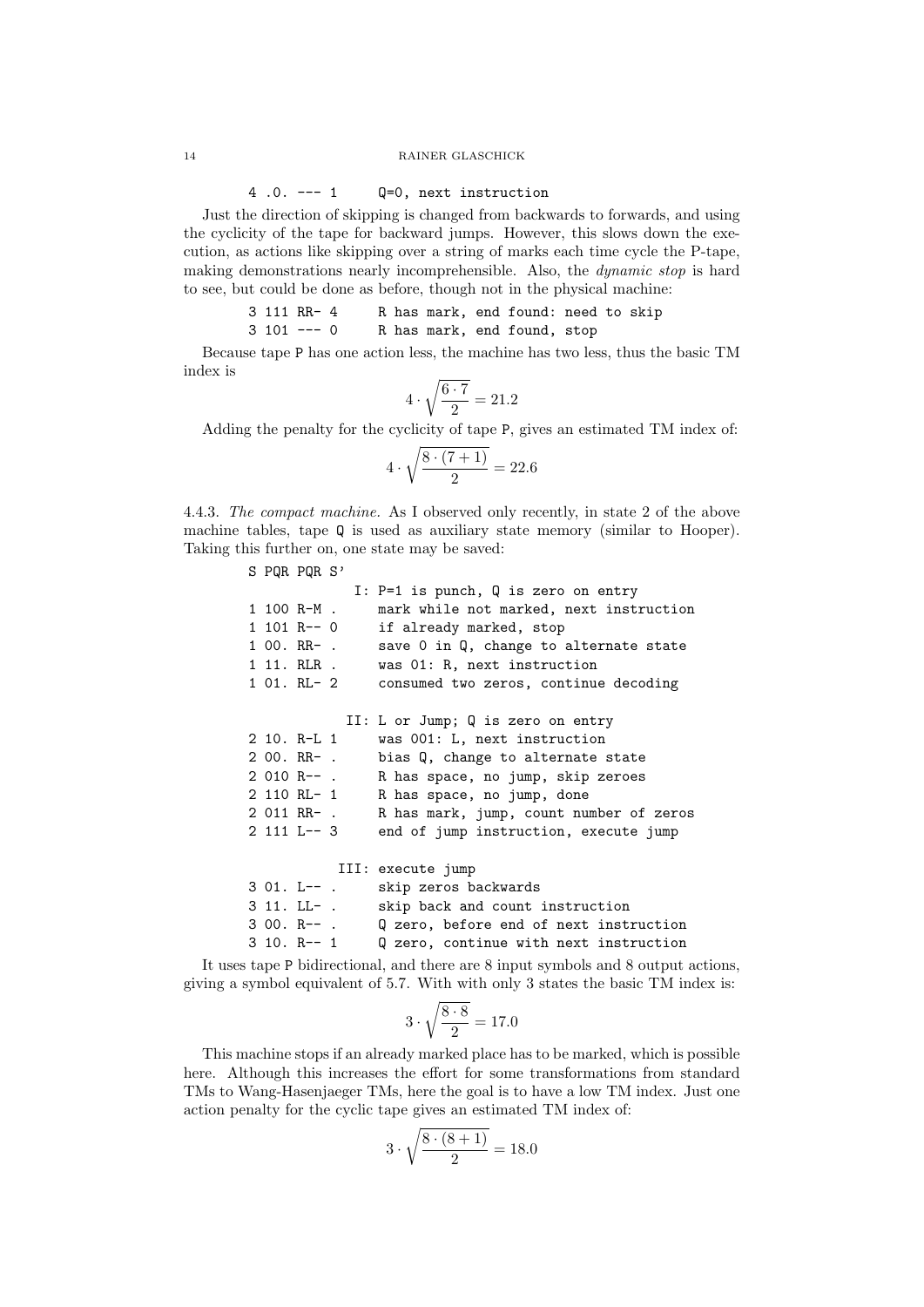### 4 .0. --- 1 Q=0, next instruction

Just the direction of skipping is changed from backwards to forwards, and using the cyclicity of the tape for backward jumps. However, this slows down the execution, as actions like skipping over a string of marks each time cycle the P-tape, making demonstrations nearly incomprehensible. Also, the dynamic stop is hard to see, but could be done as before, though not in the physical machine:

3 111 RR- 4 R has mark, end found: need to skip 3 101 --- 0 R has mark, end found, stop

Because tape P has one action less, the machine has two less, thus the basic TM index is

$$
4\cdot\sqrt{\frac{6\cdot 7}{2}}=21.2
$$

Adding the penalty for the cyclicity of tape P, gives an estimated TM index of:

$$
4 \cdot \sqrt{\frac{8 \cdot (7+1)}{2}} = 22.6
$$

4.4.3. The compact machine. As I observed only recently, in state 2 of the above machine tables, tape Q is used as auxiliary state memory (similar to Hooper). Taking this further on, one state may be saved:

|  | S PQR PQR S'  |             |                                                   |
|--|---------------|-------------|---------------------------------------------------|
|  |               |             | I: $P=1$ is punch, Q is zero on entry             |
|  | 1 100 R-M .   |             | mark while not marked, next instruction           |
|  | 1 101 R-- 0   |             | if already marked, stop                           |
|  | 1 00. RR- .   |             | save 0 in Q, change to alternate state            |
|  |               | 1 11. RLR . | was 01: R, next instruction                       |
|  |               |             | 1 01. RL- 2 consumed two zeros, continue decoding |
|  |               |             |                                                   |
|  |               |             | II: L or Jump; Q is zero on entry                 |
|  | 2 10. R-L 1   |             | was 001: L, next instruction                      |
|  | 2 00. RR- .   |             | bias Q, change to alternate state                 |
|  | 2 010 R-- .   |             | R has space, no jump, skip zeroes                 |
|  | 2 110 RL- 1   |             | R has space, no jump, done                        |
|  | 2 011 RR- .   |             | R has mark, jump, count number of zeros           |
|  | 2 111 L-- 3   |             | end of jump instruction, execute jump             |
|  |               |             |                                                   |
|  |               |             | III: execute jump                                 |
|  | 3 01. L-- .   |             | skip zeros backwards                              |
|  | 3 11. LL- .   |             | skip back and count instruction                   |
|  | 3 00. R-- .   |             | Q zero, before end of next instruction            |
|  | $3 10. R-- 1$ |             | Q zero, continue with next instruction            |

It uses tape P bidirectional, and there are 8 input symbols and 8 output actions, giving a symbol equivalent of 5.7. With with only 3 states the basic TM index is:

$$
3 \cdot \sqrt{\frac{8 \cdot 8}{2}} = 17.0
$$

This machine stops if an already marked place has to be marked, which is possible here. Although this increases the effort for some transformations from standard TMs to Wang-Hasenjaeger TMs, here the goal is to have a low TM index. Just one action penalty for the cyclic tape gives an estimated TM index of:

$$
3 \cdot \sqrt{\frac{8 \cdot (8+1)}{2}} = 18.0
$$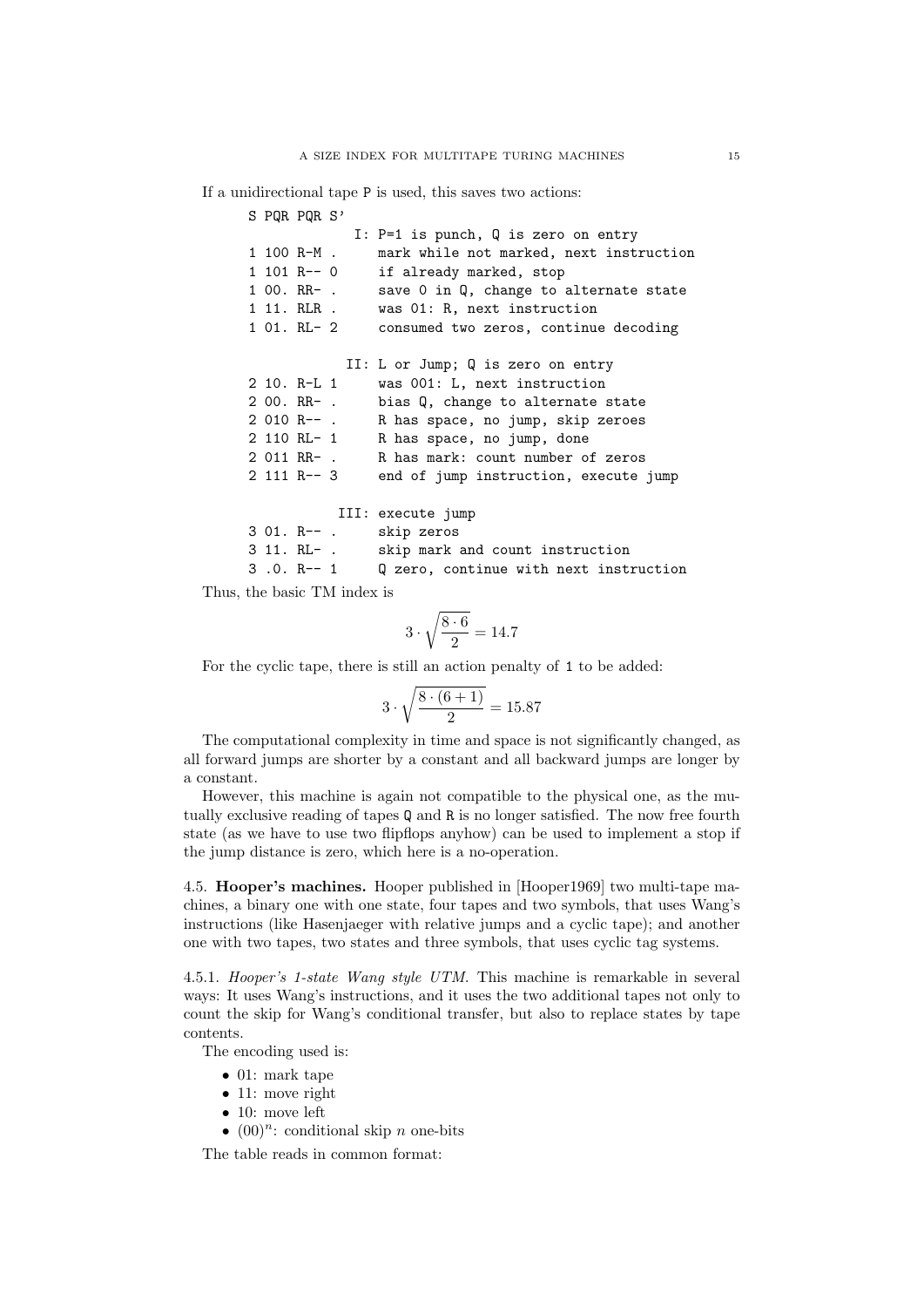If a unidirectional tape P is used, this saves two actions:

|  | S POR POR S'  |             |                                         |
|--|---------------|-------------|-----------------------------------------|
|  |               |             | I: $P=1$ is punch, Q is zero on entry   |
|  | 1 100 R-M .   |             | mark while not marked, next instruction |
|  | $1 101 R--0$  |             | if already marked, stop                 |
|  | 1 00. RR- .   |             | save 0 in Q, change to alternate state  |
|  | 1 11. RLR .   |             | was 01: R, next instruction             |
|  |               | 1 01. RL- 2 | consumed two zeros, continue decoding   |
|  |               |             |                                         |
|  |               |             | II: L or Jump; Q is zero on entry       |
|  | 2 10. R-L 1   |             | was 001: L, next instruction            |
|  | $200.$ RR- .  |             | bias Q, change to alternate state       |
|  | 2 010 R-- .   |             | R has space, no jump, skip zeroes       |
|  |               | 2 110 RL- 1 | R has space, no jump, done              |
|  | 2 011 RR- .   |             | R has mark: count number of zeros       |
|  | $2$ 111 R-- 3 |             | end of jump instruction, execute jump   |
|  |               |             |                                         |
|  |               |             | III: execute jump                       |
|  | 3 01. R-- .   |             | skip zeros                              |
|  |               | 3 11. RL- . | skip mark and count instruction         |
|  | 3.0. R-- 1    |             | Q zero, continue with next instruction  |

Thus, the basic TM index is

$$
3\cdot\sqrt{\frac{8\cdot 6}{2}}=14.7
$$

For the cyclic tape, there is still an action penalty of 1 to be added:

$$
3\cdot\sqrt{\frac{8\cdot(6+1)}{2}}=15.87
$$

The computational complexity in time and space is not significantly changed, as all forward jumps are shorter by a constant and all backward jumps are longer by a constant.

However, this machine is again not compatible to the physical one, as the mutually exclusive reading of tapes Q and R is no longer satisfied. The now free fourth state (as we have to use two flipflops anyhow) can be used to implement a stop if the jump distance is zero, which here is a no-operation.

<span id="page-14-0"></span>4.5. Hooper's machines. Hooper published in [\[Hooper1969\]](#page-21-1) two multi-tape machines, a binary one with one state, four tapes and two symbols, that uses Wang's instructions (like Hasenjaeger with relative jumps and a cyclic tape); and another one with two tapes, two states and three symbols, that uses cyclic tag systems.

4.5.1. Hooper's 1-state Wang style UTM. This machine is remarkable in several ways: It uses Wang's instructions, and it uses the two additional tapes not only to count the skip for Wang's conditional transfer, but also to replace states by tape contents.

The encoding used is:

- 01: mark tape
- 11: move right
- 10: move left
- $(00)^n$ : conditional skip *n* one-bits

The table reads in common format: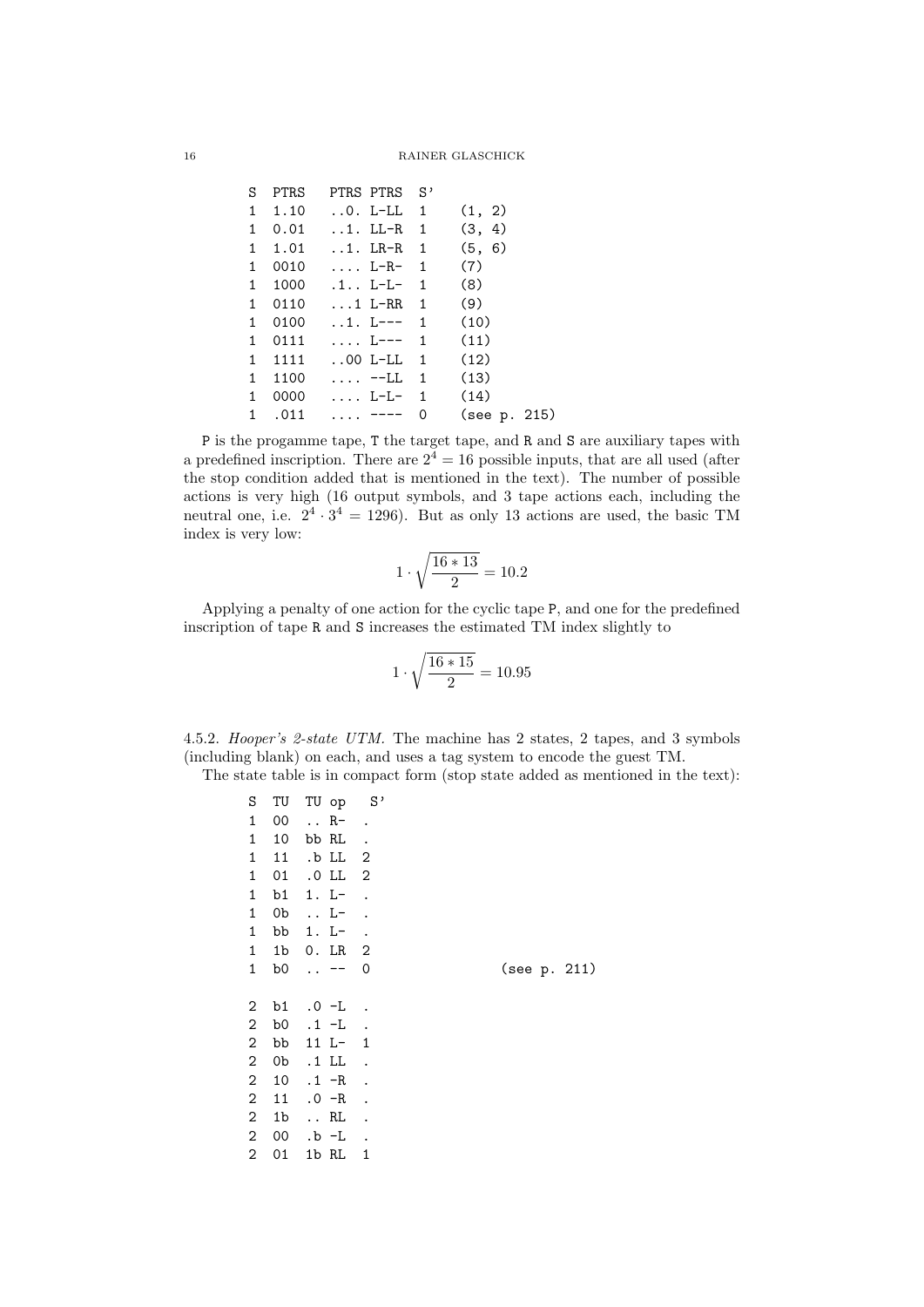| S. |        | PTRS PTRS PTRS S'                                          |   |              |  |
|----|--------|------------------------------------------------------------|---|--------------|--|
|    |        | $1 \quad 1.10 \quad .0. \text{ L-LL} \quad 1 \quad (1, 2)$ |   |              |  |
|    |        | $1 \t 0.01 \t 1. LL-R \t 1 \t (3, 4)$                      |   |              |  |
|    |        | $1 \quad 1.01 \quad .1. \text{ LR-R} \quad 1 \quad (5, 6)$ |   |              |  |
|    |        | 1 0010  L-R- 1                                             |   | (7)          |  |
|    |        | 1 1000 .1 L-L- 1                                           |   | (8)          |  |
|    |        | 1 0110 1 L-RR 1                                            |   | (9)          |  |
|    |        | $1$ 0100 1. L--- 1 (10)                                    |   |              |  |
|    |        | $1$ 0111  L--- 1 (11)                                      |   |              |  |
|    |        | $1$ 1111 00 L-LL $1$ (12)                                  |   |              |  |
|    |        | $1$ 1100 $-LL$ 1 (13)                                      |   |              |  |
|    |        | $1\quad 0000\qquad \ldots \quad L-L-1\qquad (14)$          |   |              |  |
|    | 1 .011 | $\cdots$ $\cdots$ $\cdots$                                 | 0 | (see p. 215) |  |

P is the progamme tape, T the target tape, and R and S are auxiliary tapes with a predefined inscription. There are  $2^4 = 16$  possible inputs, that are all used (after the stop condition added that is mentioned in the text). The number of possible actions is very high (16 output symbols, and 3 tape actions each, including the neutral one, i.e.  $2^4 \cdot 3^4 = 1296$ ). But as only 13 actions are used, the basic TM index is very low:

$$
1 \cdot \sqrt{\frac{16 * 13}{2}} = 10.2
$$

Applying a penalty of one action for the cyclic tape P, and one for the predefined inscription of tape R and S increases the estimated TM index slightly to

$$
1 \cdot \sqrt{\frac{16 * 15}{2}} = 10.95
$$

4.5.2. Hooper's 2-state UTM. The machine has 2 states, 2 tapes, and 3 symbols (including blank) on each, and uses a tag system to encode the guest TM.

The state table is in compact form (stop state added as mentioned in the text):

| S          | TU             | TU op                | $S^{\, \prime}$            |              |
|------------|----------------|----------------------|----------------------------|--------------|
| 1          | 00             | $\ldots$ R-          |                            |              |
| 1          | 10             | bb RL                | $\ddot{\phantom{0}}$       |              |
| 1          | 11             | .b LL                | $\overline{\phantom{0}}^2$ |              |
| 1          | 01             | $.0\,$ LL            | $\overline{2}$             |              |
| 1          | b1             | $1. L-$              | $\ddot{\phantom{0}}$       |              |
| 1          | 0b             | L-                   | $\ddot{\phantom{1}}$       |              |
| 1          | bb             | $1. L^-$             |                            |              |
| 1          | 1b             | 0. LR                | $\overline{\phantom{0}}^2$ |              |
| 1          | b0             | $\ddot{\phantom{0}}$ | 0                          | (see p. 211) |
|            |                |                      |                            |              |
|            |                |                      |                            |              |
| 2          | b1             | .O -L                |                            |              |
| 2          | b0             | $.1 - L$             |                            |              |
| 2          | bb             | 11 L-                | $\overline{1}$             |              |
| $\sqrt{2}$ | 0b             | .1 LL                | $\overline{\phantom{a}}$   |              |
| $\,2$      | 10             | $.1 - R$             | $\ddot{\phantom{0}}$       |              |
| 2          | 11             | $.0 - R$             |                            |              |
| 2          | 1 <sub>b</sub> | $\ldots$ RL          | $\ddot{\phantom{a}}$       |              |
| 2          | 00             | .b -L                | $\ddot{\phantom{0}}$       |              |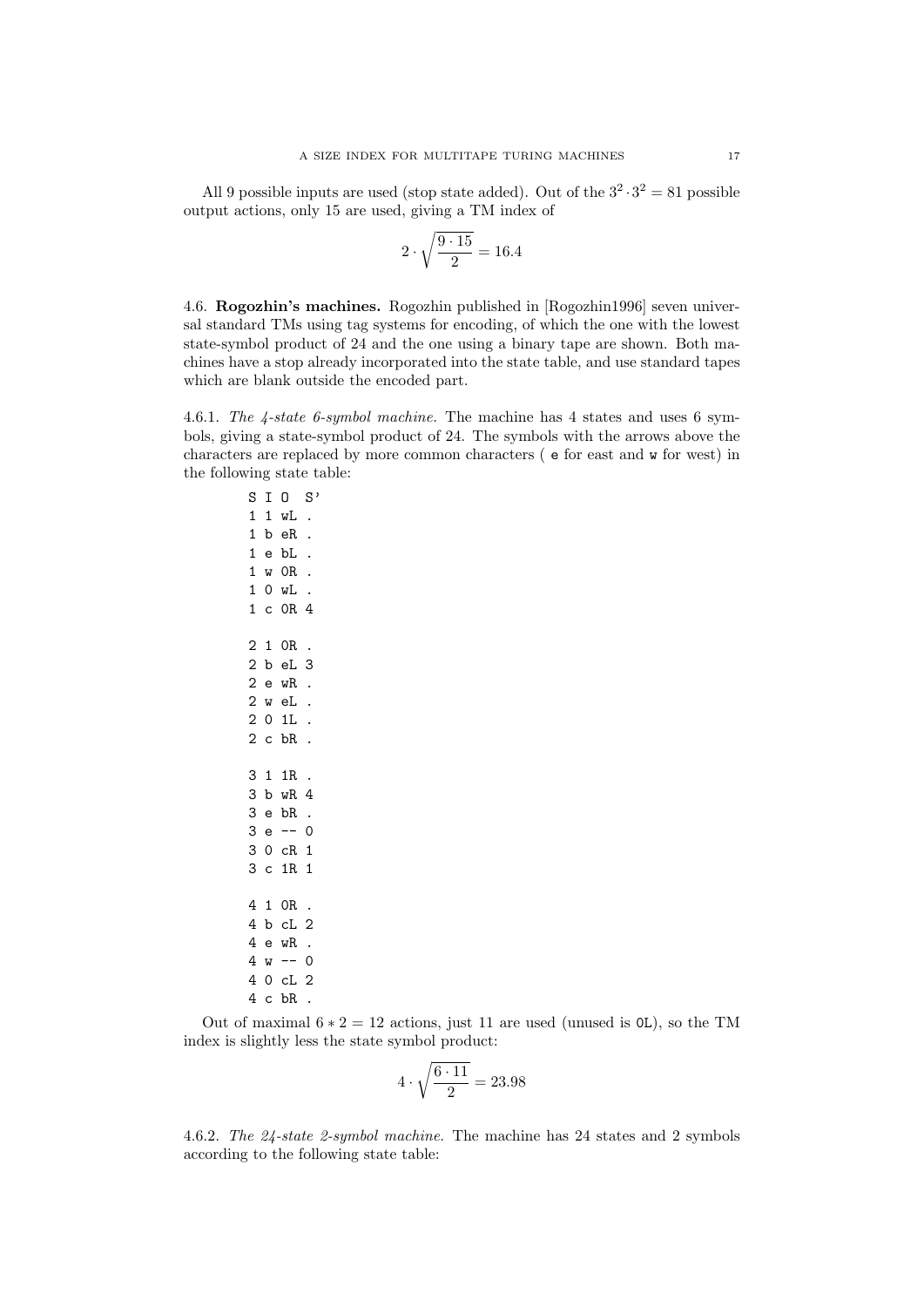All 9 possible inputs are used (stop state added). Out of the  $3^2 \cdot 3^2 = 81$  possible output actions, only 15 are used, giving a TM index of

$$
2\cdot\sqrt{\frac{9\cdot 15}{2}}=16.4
$$

<span id="page-16-0"></span>4.6. Rogozhin's machines. Rogozhin published in [\[Rogozhin1996\]](#page-21-15) seven universal standard TMs using tag systems for encoding, of which the one with the lowest state-symbol product of 24 and the one using a binary tape are shown. Both machines have a stop already incorporated into the state table, and use standard tapes which are blank outside the encoded part.

4.6.1. The 4-state 6-symbol machine. The machine has 4 states and uses 6 symbols, giving a state-symbol product of 24. The symbols with the arrows above the characters are replaced by more common characters ( e for east and w for west) in the following state table:

S I O S' 1 1 wL . 1 b eR . 1 e bL . 1 w 0R . 1 0 wL . 1 c 0R 4 2 1 0R . 2 b eL 3 2 e wR . 2 w eL . 2 0 1L . 2 c bR . 3 1 1R . 3 b wR 4 3 e bR . 3 e -- 0 3 0 cR 1 3 c 1R 1 4 1 0R . 4 b cL 2 4 e wR .  $4 w -- 0$ 4 0 cL 2 4 c bR .

Out of maximal  $6 * 2 = 12$  actions, just 11 are used (unused is 0L), so the TM index is slightly less the state symbol product:

$$
4 \cdot \sqrt{\frac{6 \cdot 11}{2}} = 23.98
$$

4.6.2. The 24-state 2-symbol machine. The machine has 24 states and 2 symbols according to the following state table: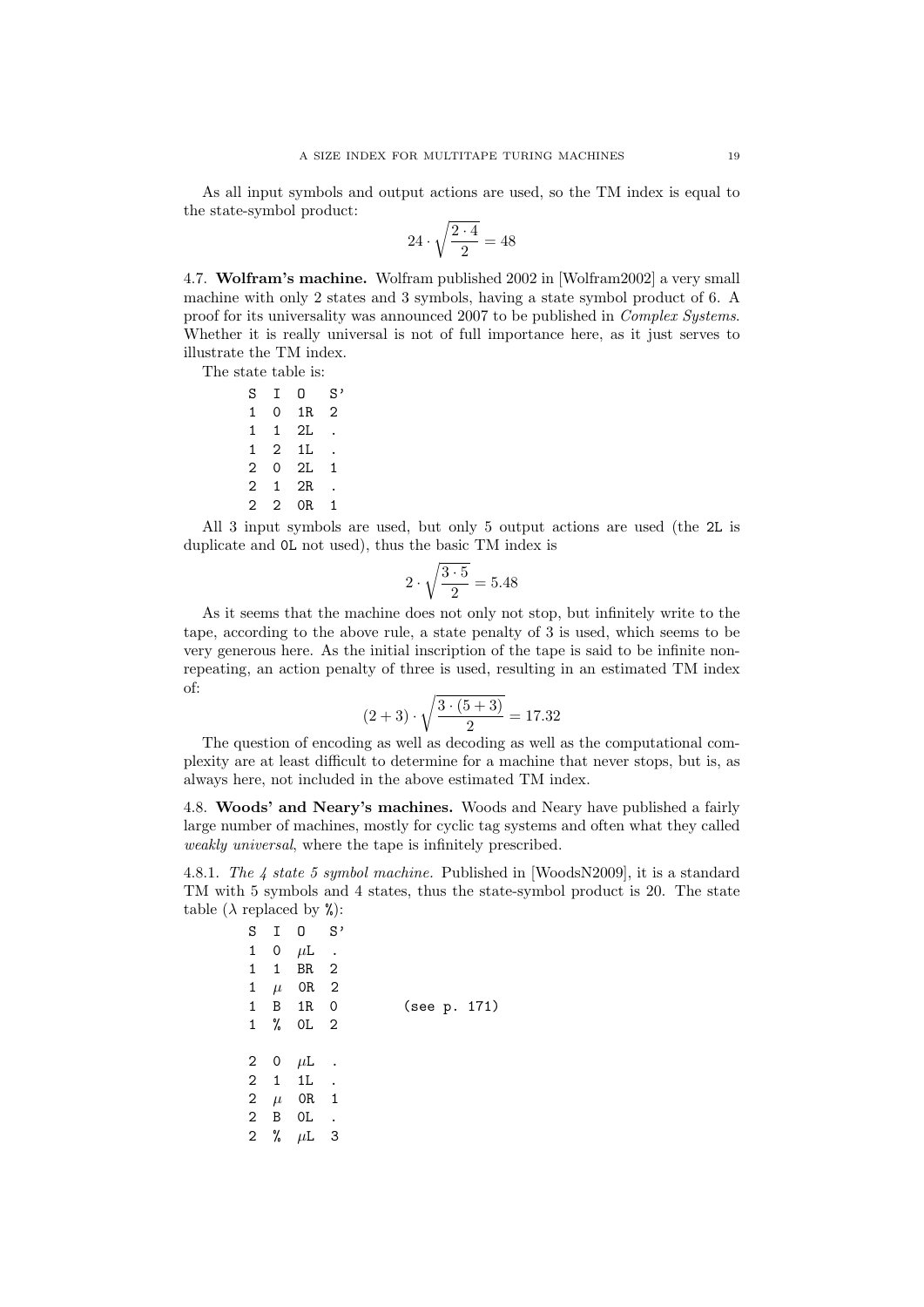As all input symbols and output actions are used, so the TM index is equal to the state-symbol product:

$$
24\cdot\sqrt{\frac{2\cdot4}{2}}=48
$$

<span id="page-18-0"></span>4.7. Wolfram's machine. Wolfram published 2002 in [\[Wolfram2002\]](#page-21-16) a very small machine with only 2 states and 3 symbols, having a state symbol product of 6. A proof for its universality was announced 2007 to be published in Complex Systems. Whether it is really universal is not of full importance here, as it just serves to illustrate the TM index.

The state table is:

 $S$  I  $0$   $S'$ 1 0 1R 2 1 1 2L . 1 2 1L . 2 0 2L 1 2 1 2R . 2 2 0R 1

All 3 input symbols are used, but only 5 output actions are used (the 2L is duplicate and 0L not used), thus the basic TM index is

$$
2 \cdot \sqrt{\frac{3 \cdot 5}{2}} = 5.48
$$

As it seems that the machine does not only not stop, but infinitely write to the tape, according to the above rule, a state penalty of 3 is used, which seems to be very generous here. As the initial inscription of the tape is said to be infinite nonrepeating, an action penalty of three is used, resulting in an estimated TM index of:

$$
(2+3)\cdot\sqrt{\frac{3\cdot(5+3)}{2}} = 17.32
$$

The question of encoding as well as decoding as well as the computational complexity are at least difficult to determine for a machine that never stops, but is, as always here, not included in the above estimated TM index.

<span id="page-18-1"></span>4.8. Woods' and Neary's machines. Woods and Neary have published a fairly large number of machines, mostly for cyclic tag systems and often what they called weakly universal, where the tape is infinitely prescribed.

4.8.1. The 4 state 5 symbol machine. Published in [\[WoodsN2009\]](#page-21-8), it is a standard TM with 5 symbols and 4 states, thus the state-symbol product is 20. The state table  $(\lambda \text{ replaced by } \%)$ :

| S            |              | $I \quad 0$     | $S$ ,                   |              |
|--------------|--------------|-----------------|-------------------------|--------------|
| 1            | $\mathbf 0$  | $\mu$ L         |                         |              |
| 1            | $\mathbf{1}$ | BR <sub>2</sub> |                         |              |
| 1            | $\mu$        | OR 2            |                         |              |
| 1            |              | B 1R 0          |                         | (see p. 171) |
| 1            | %            | OL <sub>2</sub> |                         |              |
|              |              |                 |                         |              |
|              |              | 2 0 $\mu$ L     |                         |              |
|              | $2 \quad 1$  | 1 <sub>L</sub>  |                         |              |
| $\mathbf{2}$ | $\mu$        | OR 1            |                         |              |
| $\mathbf{2}$ | B            | 0L              | $\sim$ .                |              |
| $\mathbf{2}$ |              |                 | $\overline{\mathbf{3}}$ |              |
|              | %            | $\mu$ L         |                         |              |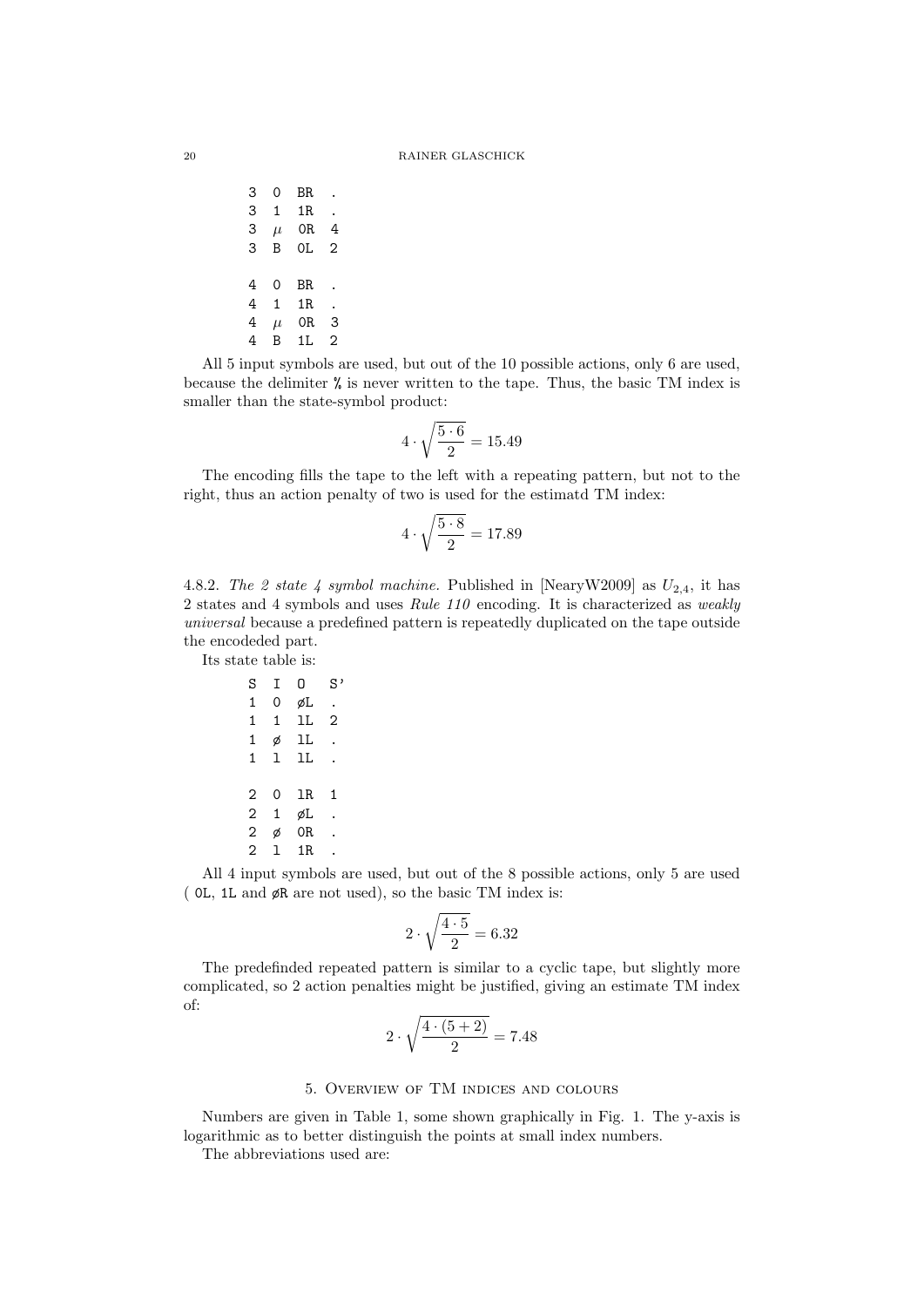3 0 BR . 3 1 1R . 3  $\mu$  OR 4 3 B 0L 2 4 0 BR . 4 1 1R . 4  $\mu$  OR 3 4 B 1L 2

All 5 input symbols are used, but out of the 10 possible actions, only 6 are used, because the delimiter % is never written to the tape. Thus, the basic TM index is smaller than the state-symbol product:

$$
4\cdot\sqrt{\frac{5\cdot 6}{2}}=15.49
$$

The encoding fills the tape to the left with a repeating pattern, but not to the right, thus an action penalty of two is used for the estimatd TM index:

$$
4 \cdot \sqrt{\frac{5 \cdot 8}{2}} = 17.89
$$

4.8.2. The 2 state 4 symbol machine. Published in [\[NearyW2009\]](#page-21-4) as  $U_{2,4}$ , it has 2 states and 4 symbols and uses Rule 110 encoding. It is characterized as weakly universal because a predefined pattern is repeatedly duplicated on the tape outside the encodeded part.

Its state table is:

$$
\begin{array}{cccccc} S & I & 0 & S \\ 1 & 0 & \not\in L \\ 1 & 1 & 1L & 2 \\ 1 & \not\in & 1L \\ 1 & 1 & 1L \\ 2 & 0 & 1R & 1 \\ 2 & 1 & \not\in L \\ 2 & \not\in & 0R \\ 2 & 1 & 1R \\ \end{array}.
$$

All 4 input symbols are used, but out of the 8 possible actions, only 5 are used ( 0L, 1L and øR are not used), so the basic TM index is:

$$
2\cdot\sqrt{\frac{4\cdot 5}{2}}=6.32
$$

The predefinded repeated pattern is similar to a cyclic tape, but slightly more complicated, so 2 action penalties might be justified, giving an estimate TM index of:

$$
2 \cdot \sqrt{\frac{4 \cdot (5 + 2)}{2}} = 7.48
$$

#### 5. Overview of TM indices and colours

<span id="page-19-0"></span>Numbers are given in Table 1, some shown graphically in Fig. 1. The y-axis is logarithmic as to better distinguish the points at small index numbers.

The abbreviations used are: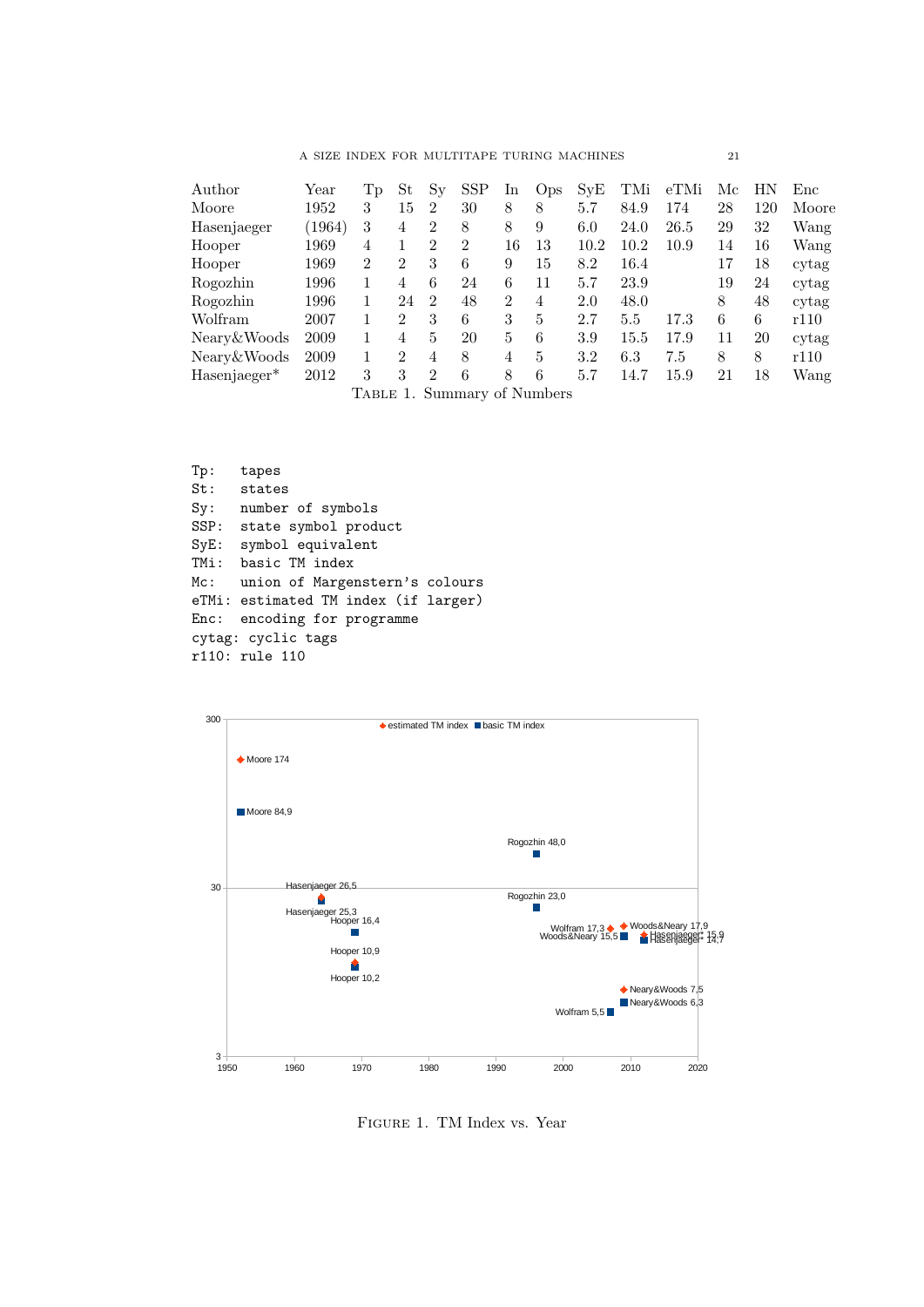A SIZE INDEX FOR MULTITAPE TURING MACHINES  $\hspace{1.5cm} 21$ 

| Author                   | Year   | 1p             | St             | Sv             | <b>SSP</b> | 1n             | Ops | SvE     | TMi      | eTMi | Мc | НN  | Enc   |
|--------------------------|--------|----------------|----------------|----------------|------------|----------------|-----|---------|----------|------|----|-----|-------|
| Moore                    | 1952   | 3              | 15             | $\overline{2}$ | 30         | 8              | 8   | 5.7     | 84.9     | 174  | 28 | 120 | Moore |
| Hasenjaeger              | (1964) | 3              | 4              | $\overline{2}$ | 8          | 8              | 9   | 6.0     | 24.0     | 26.5 | 29 | 32  | Wang  |
| Hooper                   | 1969   | 4              |                | $\overline{2}$ | 2          | 16             | 13  | 10.2    | 10.2     | 10.9 | 14 | 16  | Wang  |
| Hooper                   | 1969   | 2              | $\overline{2}$ | 3              | 6          | 9              | 15  | 8.2     | 16.4     |      | 17 | 18  | cytag |
| Rogozhin                 | 1996   |                | 4              | 6              | 24         | 6              | 11  | 5.7     | 23.9     |      | 19 | 24  | cytag |
| Rogozhin                 | 1996   |                | 24             | $\mathfrak{D}$ | 48         | $\overline{2}$ | 4   | 2.0     | 48.0     |      | 8  | 48  | cytag |
| Wolfram                  | 2007   |                | $\overline{2}$ | 3              | 6          | 3              | 5   | 2.7     | 5.5      | 17.3 | 6  | 6   | r110  |
| Neary & Woods            | 2009   |                | 4              | 5              | 20         | 5              | 6   | 3.9     | $15.5\,$ | 17.9 | 11 | 20  | cytag |
| Neary & Woods            | 2009   | 1              | $\overline{2}$ | 4              | 8          | 4              | 5   | $3.2\,$ | $6.3\,$  | 7.5  | 8  | 8   | r110  |
| Hasenjaeger <sup>*</sup> | 2012   | 3              | 3              | $\mathfrak{D}$ | 6          | 8              | 6   | 5.7     | 14.7     | 15.9 | 21 | 18  | Wang  |
|                          |        | $\blacksquare$ |                |                |            | 0.77           |     |         |          |      |    |     |       |

<span id="page-20-0"></span>Table 1. Summary of Numbers

```
Tp: tapes
St: states
Sy: number of symbols
SSP: state symbol product
SyE: symbol equivalent
TMi: basic TM index
Mc: union of Margenstern's colours
eTMi: estimated TM index (if larger)
Enc: encoding for programme
cytag: cyclic tags
r110: rule 110
```


Figure 1. TM Index vs. Year